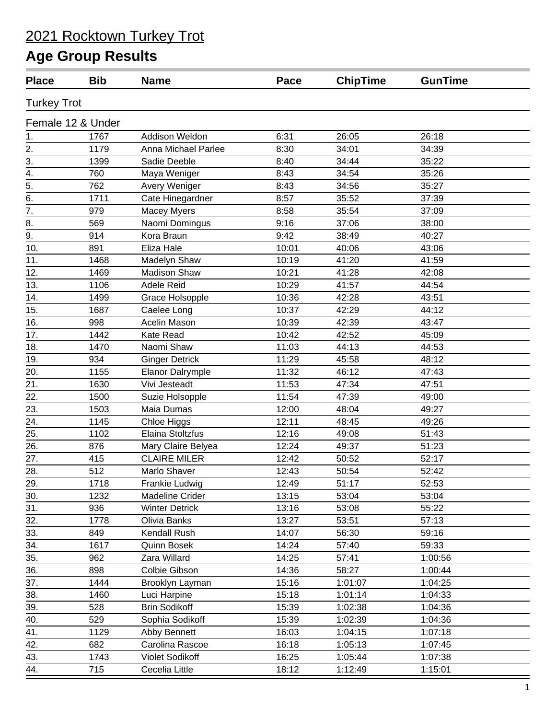| <b>Place</b>       | <b>Bib</b>        | <b>Name</b>             | Pace  | <b>ChipTime</b> | <b>GunTime</b> |
|--------------------|-------------------|-------------------------|-------|-----------------|----------------|
| <b>Turkey Trot</b> |                   |                         |       |                 |                |
|                    | Female 12 & Under |                         |       |                 |                |
| 1.                 | 1767              | Addison Weldon          | 6:31  | 26:05           | 26:18          |
| 2.                 | 1179              | Anna Michael Parlee     | 8:30  | 34:01           | 34:39          |
| 3.                 | 1399              | Sadie Deeble            | 8:40  | 34:44           | 35:22          |
| 4.                 | 760               | Maya Weniger            | 8:43  | 34:54           | 35:26          |
| 5.                 | 762               | Avery Weniger           | 8:43  | 34:56           | 35:27          |
| 6.                 | 1711              | Cate Hinegardner        | 8:57  | 35:52           | 37:39          |
| 7.                 | 979               | Macey Myers             | 8:58  | 35:54           | 37:09          |
| 8.                 | 569               | Naomi Domingus          | 9:16  | 37:06           | 38:00          |
| 9.                 | 914               | Kora Braun              | 9:42  | 38:49           | 40:27          |
| 10.                | 891               | Eliza Hale              | 10:01 | 40:06           | 43:06          |
| 11.                | 1468              | Madelyn Shaw            | 10:19 | 41:20           | 41:59          |
| 12.                | 1469              | <b>Madison Shaw</b>     | 10:21 | 41:28           | 42:08          |
| 13.                | 1106              | Adele Reid              | 10:29 | 41:57           | 44:54          |
| 14.                | 1499              | Grace Holsopple         | 10:36 | 42:28           | 43:51          |
| 15.                | 1687              | Caelee Long             | 10:37 | 42:29           | 44:12          |
| 16.                | 998               | Acelin Mason            | 10:39 | 42:39           | 43:47          |
| 17.                | 1442              | Kate Read               | 10:42 | 42:52           | 45:09          |
| 18.                | 1470              | Naomi Shaw              | 11:03 | 44:13           | 44:53          |
| 19.                | 934               | <b>Ginger Detrick</b>   | 11:29 | 45:58           | 48:12          |
| 20.                | 1155              | <b>Elanor Dalrymple</b> | 11:32 | 46:12           | 47:43          |
| 21.                | 1630              | Vivi Jesteadt           | 11:53 | 47:34           | 47:51          |
| 22.                | 1500              | Suzie Holsopple         | 11:54 | 47:39           | 49:00          |
| 23.                | 1503              | Maia Dumas              | 12:00 | 48:04           | 49:27          |
| 24.                | 1145              | Chloe Higgs             | 12:11 | 48:45           | 49:26          |
| 25.                | 1102              | Elaina Stoltzfus        | 12:16 | 49:08           | 51:43          |
| 26.                | 876               | Mary Claire Belyea      | 12:24 | 49:37           | 51:23          |
| 27.                | 415               | <b>CLAIRE MILER</b>     | 12:42 | 50:52           | 52:17          |
| 28.                | 512               | Marlo Shaver            | 12:43 | 50:54           | 52:42          |
| 29.                | 1718              | Frankie Ludwig          | 12:49 | 51:17           | 52:53          |
| 30.                | 1232              | <b>Madeline Crider</b>  | 13:15 | 53:04           | 53:04          |
| 31.                | 936               | <b>Winter Detrick</b>   | 13:16 | 53:08           | 55:22          |
| 32.                | 1778              | Olivia Banks            | 13:27 | 53:51           | 57:13          |
| 33.                | 849               | Kendall Rush            | 14:07 | 56:30           | 59:16          |
| 34.                | 1617              | Quinn Bosek             | 14:24 | 57:40           | 59:33          |
| 35.                | 962               | Zara Willard            | 14:25 | 57:41           | 1:00:56        |
| 36.                | 898               | Colbie Gibson           | 14:36 | 58:27           | 1:00:44        |
| 37.                | 1444              | Brooklyn Layman         | 15:16 | 1:01:07         | 1:04:25        |
| 38.                | 1460              | Luci Harpine            | 15:18 | 1:01:14         | 1:04:33        |
| 39.                | 528               | <b>Brin Sodikoff</b>    | 15:39 | 1:02:38         | 1:04:36        |
| 40.                | 529               | Sophia Sodikoff         | 15:39 | 1:02:39         | 1:04:36        |
| 41.                | 1129              | Abby Bennett            | 16:03 | 1:04:15         | 1:07:18        |
| 42.                | 682               | Carolina Rascoe         | 16:18 | 1:05:13         | 1:07:45        |
| 43.                | 1743              | Violet Sodikoff         | 16:25 | 1:05:44         | 1:07:38        |
| 44.                | 715               | Cecelia Little          | 18:12 | 1:12:49         | 1:15:01        |
|                    |                   |                         |       |                 |                |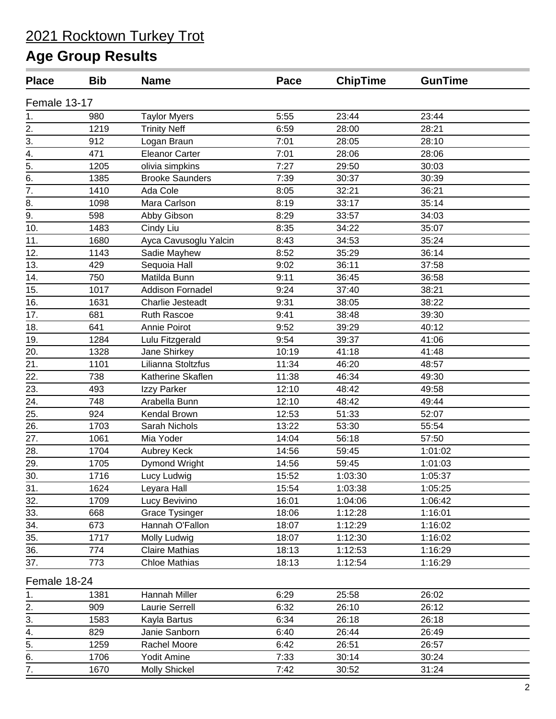| <b>Place</b>                   | <b>Bib</b> | <b>Name</b>             | Pace  | <b>ChipTime</b> | <b>GunTime</b> |  |
|--------------------------------|------------|-------------------------|-------|-----------------|----------------|--|
| Female 13-17                   |            |                         |       |                 |                |  |
|                                | 980        | <b>Taylor Myers</b>     | 5:55  | 23:44           | 23:44          |  |
| $rac{1}{2}$ .<br>$rac{2}{3}$ . | 1219       | <b>Trinity Neff</b>     | 6:59  | 28:00           | 28:21          |  |
|                                | 912        | Logan Braun             | 7:01  | 28:05           | 28:10          |  |
| 4.                             | 471        | <b>Eleanor Carter</b>   | 7:01  | 28:06           | 28:06          |  |
| $\overline{5}$ .               | 1205       | olivia simpkins         | 7:27  | 29:50           | 30:03          |  |
| 6.                             | 1385       | <b>Brooke Saunders</b>  | 7:39  | 30:37           | 30:39          |  |
| $\overline{7}$ .               | 1410       | Ada Cole                | 8:05  | 32:21           | 36:21          |  |
| 8.                             | 1098       | Mara Carlson            | 8:19  | 33:17           | 35:14          |  |
| 9.                             | 598        | Abby Gibson             | 8:29  | 33:57           | 34:03          |  |
| 10.                            | 1483       | Cindy Liu               | 8:35  | 34:22           | 35:07          |  |
| 11.                            | 1680       | Ayca Cavusoglu Yalcin   | 8:43  | 34:53           | 35:24          |  |
| 12.                            | 1143       | Sadie Mayhew            | 8:52  | 35:29           | 36:14          |  |
| 13.                            | 429        | Sequoia Hall            | 9:02  | 36:11           | 37:58          |  |
| 14.                            | 750        | Matilda Bunn            | 9:11  | 36:45           | 36:58          |  |
| 15.                            | 1017       | <b>Addison Fornadel</b> | 9:24  | 37:40           | 38:21          |  |
| 16.                            | 1631       | Charlie Jesteadt        | 9:31  | 38:05           | 38:22          |  |
| 17.                            | 681        | Ruth Rascoe             | 9:41  | 38:48           | 39:30          |  |
| 18.                            | 641        | Annie Poirot            | 9:52  | 39:29           | 40:12          |  |
| 19.                            | 1284       | Lulu Fitzgerald         | 9:54  | 39:37           | 41:06          |  |
| 20.                            | 1328       | Jane Shirkey            | 10:19 | 41:18           | 41:48          |  |
| 21.                            | 1101       | Lilianna Stoltzfus      | 11:34 | 46:20           | 48:57          |  |
| 22.                            | 738        | Katherine Skaflen       | 11:38 | 46:34           | 49:30          |  |
| 23.                            | 493        | Izzy Parker             | 12:10 | 48:42           | 49:58          |  |
| 24.                            | 748        | Arabella Bunn           | 12:10 | 48:42           | 49:44          |  |
| 25.                            | 924        | Kendal Brown            | 12:53 | 51:33           | 52:07          |  |
| 26.                            | 1703       | Sarah Nichols           | 13:22 | 53:30           | 55:54          |  |
| 27.                            | 1061       | Mia Yoder               | 14:04 | 56:18           | 57:50          |  |
| 28.                            | 1704       | Aubrey Keck             | 14:56 | 59:45           | 1:01:02        |  |
| 29.                            | 1705       | Dymond Wright           | 14:56 | 59:45           | 1:01:03        |  |
| 30.                            | 1716       | Lucy Ludwig             | 15:52 | 1:03:30         | 1:05:37        |  |
| 31.                            | 1624       | Leyara Hall             | 15:54 | 1:03:38         | 1:05:25        |  |
| 32.                            | 1709       | Lucy Bevivino           | 16:01 | 1:04:06         | 1:06:42        |  |
| 33.                            | 668        | <b>Grace Tysinger</b>   | 18:06 | 1:12:28         | 1:16:01        |  |
| 34.                            | 673        | Hannah O'Fallon         | 18:07 | 1:12:29         | 1:16:02        |  |
| 35.                            | 1717       | Molly Ludwig            | 18:07 | 1:12:30         | 1:16:02        |  |
| 36.                            | 774        | <b>Claire Mathias</b>   | 18:13 | 1:12:53         | 1:16:29        |  |
| 37.                            | 773        | <b>Chloe Mathias</b>    | 18:13 | 1:12:54         | 1:16:29        |  |
| Female 18-24                   |            |                         |       |                 |                |  |
| 1.                             | 1381       | Hannah Miller           | 6:29  | 25:58           | 26:02          |  |
| $\overline{2}$ .               | 909        | Laurie Serrell          | 6:32  | 26:10           | 26:12          |  |
| 3.                             | 1583       | Kayla Bartus            | 6:34  | 26:18           | 26:18          |  |
| 4.                             | 829        | Janie Sanborn           | 6:40  | 26:44           | 26:49          |  |
| 5.                             | 1259       | Rachel Moore            | 6:42  | 26:51           | 26:57          |  |
|                                | 1706       | Yodit Amine             | 7:33  | 30:14           | 30:24          |  |
| $rac{6}{7}$                    | 1670       | <b>Molly Shickel</b>    | 7:42  | 30:52           | 31:24          |  |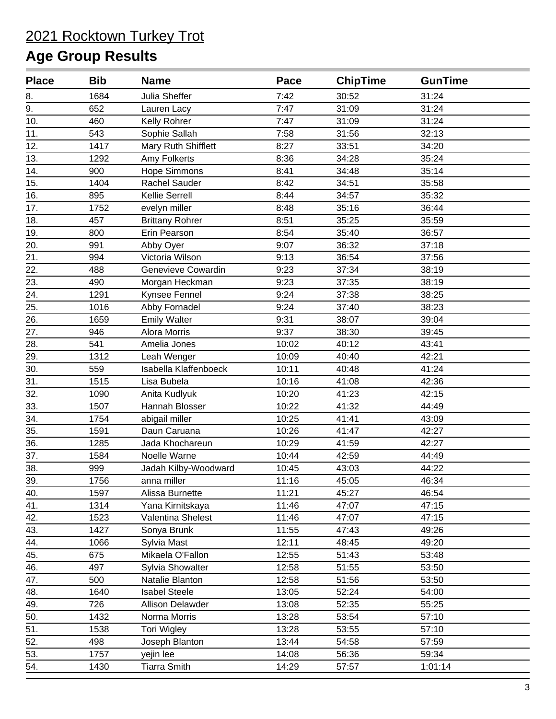| <b>Place</b> | <b>Bib</b> | <b>Name</b>            | Pace  | <b>ChipTime</b> | <b>GunTime</b> |  |
|--------------|------------|------------------------|-------|-----------------|----------------|--|
| 8.           | 1684       | Julia Sheffer          | 7:42  | 30:52           | 31:24          |  |
| 9.           | 652        | Lauren Lacy            | 7:47  | 31:09           | 31:24          |  |
| 10.          | 460        | Kelly Rohrer           | 7:47  | 31:09           | 31:24          |  |
| 11.          | 543        | Sophie Sallah          | 7:58  | 31:56           | 32:13          |  |
| 12.          | 1417       | Mary Ruth Shifflett    | 8:27  | 33:51           | 34:20          |  |
| 13.          | 1292       | Amy Folkerts           | 8:36  | 34:28           | 35:24          |  |
| 14.          | 900        | Hope Simmons           | 8:41  | 34:48           | 35:14          |  |
| 15.          | 1404       | Rachel Sauder          | 8:42  | 34:51           | 35:58          |  |
| 16.          | 895        | Kellie Serrell         | 8:44  | 34:57           | 35:32          |  |
| 17.          | 1752       | evelyn miller          | 8:48  | 35:16           | 36:44          |  |
| 18.          | 457        | <b>Brittany Rohrer</b> | 8:51  | 35:25           | 35:59          |  |
| 19.          | 800        | Erin Pearson           | 8:54  | 35:40           | 36:57          |  |
| 20.          | 991        | Abby Oyer              | 9:07  | 36:32           | 37:18          |  |
| 21.          | 994        | Victoria Wilson        | 9:13  | 36:54           | 37:56          |  |
| 22.          | 488        | Genevieve Cowardin     | 9:23  | 37:34           | 38:19          |  |
| 23.          | 490        | Morgan Heckman         | 9:23  | 37:35           | 38:19          |  |
| 24.          | 1291       | Kynsee Fennel          | 9:24  | 37:38           | 38:25          |  |
| 25.          | 1016       | Abby Fornadel          | 9:24  | 37:40           | 38:23          |  |
| 26.          | 1659       | <b>Emily Walter</b>    | 9:31  | 38:07           | 39:04          |  |
| 27.          | 946        | Alora Morris           | 9:37  | 38:30           | 39:45          |  |
| 28.          | 541        | Amelia Jones           | 10:02 | 40:12           | 43:41          |  |
| 29.          | 1312       | Leah Wenger            | 10:09 | 40:40           | 42:21          |  |
| 30.          | 559        | Isabella Klaffenboeck  | 10:11 | 40:48           | 41:24          |  |
| 31.          | 1515       | Lisa Bubela            | 10:16 | 41:08           | 42:36          |  |
| 32.          | 1090       | Anita Kudlyuk          | 10:20 | 41:23           | 42:15          |  |
| 33.          | 1507       | Hannah Blosser         | 10:22 | 41:32           | 44:49          |  |
| 34.          | 1754       | abigail miller         | 10:25 | 41:41           | 43:09          |  |
| 35.          | 1591       | Daun Caruana           | 10:26 | 41:47           | 42:27          |  |
| 36.          | 1285       | Jada Khochareun        | 10:29 | 41:59           | 42:27          |  |
| 37.          | 1584       | Noelle Warne           | 10:44 | 42:59           | 44:49          |  |
| 38.          | 999        | Jadah Kilby-Woodward   | 10:45 | 43:03           | 44:22          |  |
| 39.          | 1756       | anna miller            | 11:16 | 45:05           | 46:34          |  |
| 40.          | 1597       | Alissa Burnette        | 11:21 | 45:27           | 46:54          |  |
| 41.          | 1314       | Yana Kirnitskaya       | 11:46 | 47:07           | 47:15          |  |
| 42.          | 1523       | Valentina Shelest      | 11:46 | 47:07           | 47:15          |  |
| 43.          | 1427       | Sonya Brunk            | 11:55 | 47:43           | 49:26          |  |
| 44.          | 1066       | Sylvia Mast            | 12:11 | 48:45           | 49:20          |  |
| 45.          | 675        | Mikaela O'Fallon       | 12:55 | 51:43           | 53:48          |  |
| 46.          | 497        | Sylvia Showalter       | 12:58 | 51:55           | 53:50          |  |
| 47.          | 500        | Natalie Blanton        | 12:58 | 51:56           | 53:50          |  |
| 48.          | 1640       | <b>Isabel Steele</b>   | 13:05 | 52:24           | 54:00          |  |
| 49.          | 726        | Allison Delawder       | 13:08 | 52:35           | 55:25          |  |
| 50.          | 1432       | Norma Morris           | 13:28 | 53:54           | 57:10          |  |
| 51.          | 1538       | <b>Tori Wigley</b>     | 13:28 | 53:55           | 57:10          |  |
| 52.          | 498        | Joseph Blanton         | 13:44 | 54:58           | 57:59          |  |
| 53.          | 1757       | yejin lee              | 14:08 | 56:36           | 59:34          |  |
| 54.          | 1430       | <b>Tiarra Smith</b>    | 14:29 | 57:57           | 1:01:14        |  |
|              |            |                        |       |                 |                |  |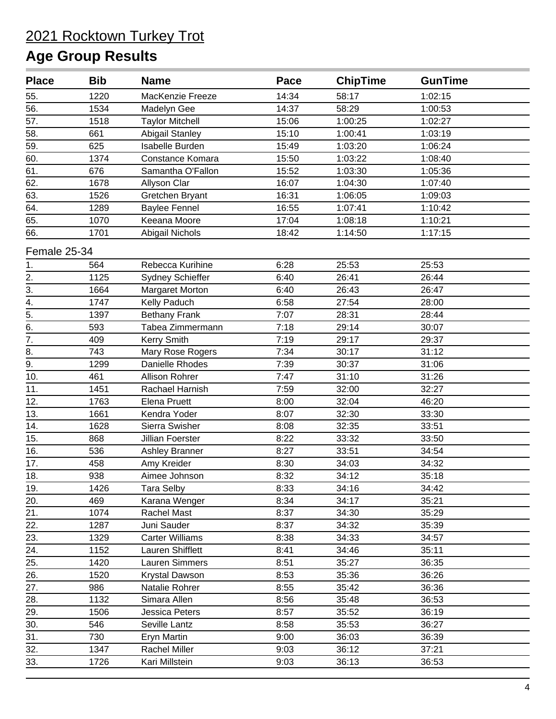| <b>Place</b>     | <b>Bib</b> | <b>Name</b>             | Pace  | <b>ChipTime</b> | <b>GunTime</b> |  |
|------------------|------------|-------------------------|-------|-----------------|----------------|--|
| 55.              | 1220       | MacKenzie Freeze        | 14:34 | 58:17           | 1:02:15        |  |
| 56.              | 1534       | Madelyn Gee             | 14:37 | 58:29           | 1:00:53        |  |
| 57.              | 1518       | <b>Taylor Mitchell</b>  | 15:06 | 1:00:25         | 1:02:27        |  |
| 58.              | 661        | <b>Abigail Stanley</b>  | 15:10 | 1:00:41         | 1:03:19        |  |
| 59.              | 625        | Isabelle Burden         | 15:49 | 1:03:20         | 1:06:24        |  |
| 60.              | 1374       | Constance Komara        | 15:50 | 1:03:22         | 1:08:40        |  |
| 61.              | 676        | Samantha O'Fallon       | 15:52 | 1:03:30         | 1:05:36        |  |
| 62.              | 1678       | Allyson Clar            | 16:07 | 1:04:30         | 1:07:40        |  |
| 63.              | 1526       | Gretchen Bryant         | 16:31 | 1:06:05         | 1:09:03        |  |
| 64.              | 1289       | <b>Baylee Fennel</b>    | 16:55 | 1:07:41         | 1:10:42        |  |
| 65.              | 1070       | Keeana Moore            | 17:04 | 1:08:18         | 1:10:21        |  |
| 66.              | 1701       | Abigail Nichols         | 18:42 | 1:14:50         | 1:17:15        |  |
| Female 25-34     |            |                         |       |                 |                |  |
| 1.               | 564        | Rebecca Kurihine        | 6:28  | 25:53           | 25:53          |  |
| $\overline{2}$ . | 1125       | Sydney Schieffer        | 6:40  | 26:41           | 26:44          |  |
| $\overline{3}$ . | 1664       | Margaret Morton         | 6:40  | 26:43           | 26:47          |  |
| $\overline{4}$ . | 1747       | Kelly Paduch            | 6:58  | 27:54           | 28:00          |  |
| $\overline{5}$ . | 1397       | <b>Bethany Frank</b>    | 7:07  | 28:31           | 28:44          |  |
| 6.               | 593        | Tabea Zimmermann        | 7:18  | 29:14           | 30:07          |  |
| $\overline{7}$ . | 409        | <b>Kerry Smith</b>      | 7:19  | 29:17           | 29:37          |  |
| 8.               | 743        | Mary Rose Rogers        | 7:34  | 30:17           | 31:12          |  |
| 9.               | 1299       | Danielle Rhodes         | 7:39  | 30:37           | 31:06          |  |
| 10.              | 461        | <b>Allison Rohrer</b>   | 7:47  | 31:10           | 31:26          |  |
| 11.              | 1451       | Rachael Harnish         | 7:59  | 32:00           | 32:27          |  |
| 12.              | 1763       | Elena Pruett            | 8:00  | 32:04           | 46:20          |  |
| 13.              | 1661       | Kendra Yoder            | 8:07  | 32:30           | 33:30          |  |
| 14.              | 1628       | Sierra Swisher          | 8:08  | 32:35           | 33:51          |  |
| 15.              | 868        | <b>Jillian Foerster</b> | 8:22  | 33:32           | 33:50          |  |
| 16.              | 536        | Ashley Branner          | 8:27  | 33:51           | 34:54          |  |
| 17.              | 458        | Amy Kreider             | 8:30  | 34:03           | 34:32          |  |
| 18.              | 938        | Aimee Johnson           | 8:32  | 34:12           | 35:18          |  |
| 19.              | 1426       | <b>Tara Selby</b>       | 8:33  | 34:16           | 34:42          |  |
| 20.              | 469        | Karana Wenger           | 8:34  | 34:17           | 35:21          |  |
| 21.              | 1074       | Rachel Mast             | 8:37  | 34:30           | 35:29          |  |
| 22.              | 1287       | Juni Sauder             | 8:37  | 34:32           | 35:39          |  |
| 23.              | 1329       | <b>Carter Williams</b>  | 8:38  | 34:33           | 34:57          |  |
| 24.              | 1152       | Lauren Shifflett        | 8:41  | 34:46           | 35:11          |  |
| 25.              | 1420       | Lauren Simmers          | 8:51  | 35:27           | 36:35          |  |
| 26.              | 1520       | Krystal Dawson          | 8:53  | 35:36           | 36:26          |  |
| 27.              | 986        | Natalie Rohrer          | 8:55  | 35:42           | 36:36          |  |
| 28.              | 1132       | Simara Allen            | 8:56  | 35:48           | 36:53          |  |
| 29.              | 1506       | Jessica Peters          | 8:57  | 35:52           | 36:19          |  |
| 30.              | 546        | Seville Lantz           | 8:58  | 35:53           | 36:27          |  |
| 31.              | 730        | Eryn Martin             | 9:00  | 36:03           | 36:39          |  |
| 32.              | 1347       | Rachel Miller           | 9:03  | 36:12           | 37:21          |  |
| 33.              | 1726       | Kari Millstein          | 9:03  | 36:13           | 36:53          |  |
|                  |            |                         |       |                 |                |  |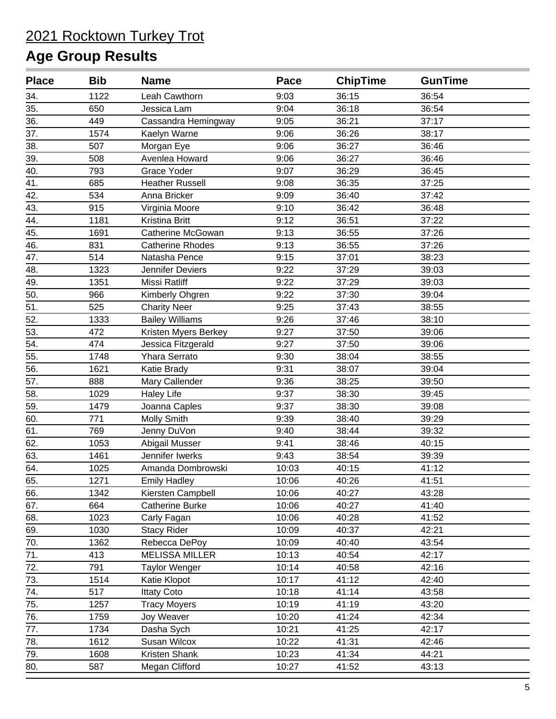| <b>Place</b> | <b>Bib</b> | <b>Name</b>             | Pace  | <b>ChipTime</b> | <b>GunTime</b> |  |
|--------------|------------|-------------------------|-------|-----------------|----------------|--|
| 34.          | 1122       | Leah Cawthorn           | 9:03  | 36:15           | 36:54          |  |
| 35.          | 650        | Jessica Lam             | 9:04  | 36:18           | 36:54          |  |
| 36.          | 449        | Cassandra Hemingway     | 9:05  | 36:21           | 37:17          |  |
| 37.          | 1574       | Kaelyn Warne            | 9:06  | 36:26           | 38:17          |  |
| 38.          | 507        | Morgan Eye              | 9:06  | 36:27           | 36:46          |  |
| 39.          | 508        | Avenlea Howard          | 9:06  | 36:27           | 36:46          |  |
| 40.          | 793        | Grace Yoder             | 9:07  | 36:29           | 36:45          |  |
| 41.          | 685        | <b>Heather Russell</b>  | 9:08  | 36:35           | 37:25          |  |
| 42.          | 534        | Anna Bricker            | 9:09  | 36:40           | 37:42          |  |
| 43.          | 915        | Virginia Moore          | 9:10  | 36:42           | 36:48          |  |
| 44.          | 1181       | Kristina Britt          | 9:12  | 36:51           | 37:22          |  |
| 45.          | 1691       | Catherine McGowan       | 9:13  | 36:55           | 37:26          |  |
| 46.          | 831        | <b>Catherine Rhodes</b> | 9:13  | 36:55           | 37:26          |  |
| 47.          | 514        | Natasha Pence           | 9:15  | 37:01           | 38:23          |  |
| 48.          | 1323       | Jennifer Deviers        | 9:22  | 37:29           | 39:03          |  |
| 49.          | 1351       | Missi Ratliff           | 9:22  | 37:29           | 39:03          |  |
| 50.          | 966        | Kimberly Ohgren         | 9:22  | 37:30           | 39:04          |  |
| 51.          | 525        | <b>Charity Neer</b>     | 9:25  | 37:43           | 38:55          |  |
| 52.          | 1333       | <b>Bailey Williams</b>  | 9:26  | 37:46           | 38:10          |  |
| 53.          | 472        | Kristen Myers Berkey    | 9:27  | 37:50           | 39:06          |  |
| 54.          | 474        | Jessica Fitzgerald      | 9:27  | 37:50           | 39:06          |  |
| 55.          | 1748       | Yhara Serrato           | 9:30  | 38:04           | 38:55          |  |
| 56.          | 1621       | Katie Brady             | 9:31  | 38:07           | 39:04          |  |
| 57.          | 888        | Mary Callender          | 9:36  | 38:25           | 39:50          |  |
| 58.          | 1029       | <b>Haley Life</b>       | 9:37  | 38:30           | 39:45          |  |
| 59.          | 1479       | Joanna Caples           | 9:37  | 38:30           | 39:08          |  |
| 60.          | 771        | Molly Smith             | 9:39  | 38:40           | 39:29          |  |
| 61.          | 769        | Jenny DuVon             | 9:40  | 38:44           | 39:32          |  |
| 62.          | 1053       | Abigail Musser          | 9:41  | 38:46           | 40:15          |  |
| 63.          | 1461       | Jennifer Iwerks         | 9:43  | 38:54           | 39:39          |  |
| 64.          | 1025       | Amanda Dombrowski       | 10:03 | 40:15           | 41:12          |  |
| 65.          | 1271       | <b>Emily Hadley</b>     | 10:06 | 40:26           | 41:51          |  |
| 66.          | 1342       | Kiersten Campbell       | 10:06 | 40:27           | 43:28          |  |
| 67.          | 664        | <b>Catherine Burke</b>  | 10:06 | 40:27           | 41:40          |  |
| 68.          | 1023       | Carly Fagan             | 10:06 | 40:28           | 41:52          |  |
| 69.          | 1030       | <b>Stacy Rider</b>      | 10:09 | 40:37           | 42:21          |  |
| 70.          | 1362       | Rebecca DePoy           | 10:09 | 40:40           | 43:54          |  |
| 71.          | 413        | <b>MELISSA MILLER</b>   | 10:13 | 40:54           | 42:17          |  |
| 72.          | 791        | <b>Taylor Wenger</b>    | 10:14 | 40:58           | 42:16          |  |
| 73.          | 1514       | Katie Klopot            | 10:17 | 41:12           | 42:40          |  |
| 74.          | 517        | <b>Ittaty Coto</b>      | 10:18 | 41:14           | 43:58          |  |
| 75.          | 1257       | <b>Tracy Moyers</b>     | 10:19 | 41:19           | 43:20          |  |
| 76.          | 1759       | Joy Weaver              | 10:20 | 41:24           | 42:34          |  |
| 77.          | 1734       | Dasha Sych              | 10:21 | 41:25           | 42:17          |  |
| 78.          | 1612       | Susan Wilcox            | 10:22 | 41:31           | 42:46          |  |
| 79.          | 1608       | Kristen Shank           | 10:23 | 41:34           | 44:21          |  |
| 80.          | 587        | Megan Clifford          | 10:27 | 41:52           | 43:13          |  |
|              |            |                         |       |                 |                |  |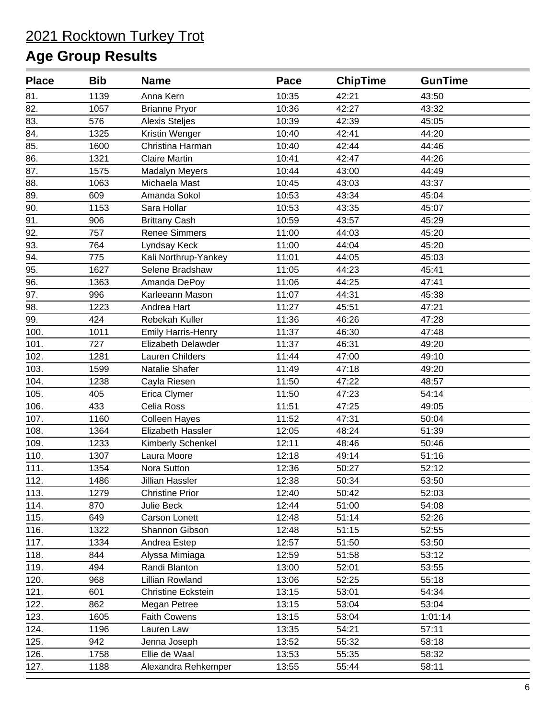| <b>Place</b> | <b>Bib</b> | <b>Name</b>               | Pace  | <b>ChipTime</b> | <b>GunTime</b> |  |
|--------------|------------|---------------------------|-------|-----------------|----------------|--|
| 81.          | 1139       | Anna Kern                 | 10:35 | 42:21           | 43:50          |  |
| 82.          | 1057       | <b>Brianne Pryor</b>      | 10:36 | 42:27           | 43:32          |  |
| 83.          | 576        | <b>Alexis Steljes</b>     | 10:39 | 42:39           | 45:05          |  |
| 84.          | 1325       | Kristin Wenger            | 10:40 | 42:41           | 44:20          |  |
| 85.          | 1600       | Christina Harman          | 10:40 | 42:44           | 44:46          |  |
| 86.          | 1321       | <b>Claire Martin</b>      | 10:41 | 42:47           | 44:26          |  |
| 87.          | 1575       | Madalyn Meyers            | 10:44 | 43:00           | 44:49          |  |
| 88.          | 1063       | Michaela Mast             | 10:45 | 43:03           | 43:37          |  |
| 89.          | 609        | Amanda Sokol              | 10:53 | 43:34           | 45:04          |  |
| 90.          | 1153       | Sara Hollar               | 10:53 | 43:35           | 45:07          |  |
| 91.          | 906        | <b>Brittany Cash</b>      | 10:59 | 43:57           | 45:29          |  |
| 92.          | 757        | <b>Renee Simmers</b>      | 11:00 | 44:03           | 45:20          |  |
| 93.          | 764        | Lyndsay Keck              | 11:00 | 44:04           | 45:20          |  |
| 94.          | 775        | Kali Northrup-Yankey      | 11:01 | 44:05           | 45:03          |  |
| 95.          | 1627       | Selene Bradshaw           | 11:05 | 44:23           | 45:41          |  |
| 96.          | 1363       | Amanda DePoy              | 11:06 | 44:25           | 47:41          |  |
| 97.          | 996        | Karleeann Mason           | 11:07 | 44:31           | 45:38          |  |
| 98.          | 1223       | Andrea Hart               | 11:27 | 45:51           | 47:21          |  |
| 99.          | 424        | Rebekah Kuller            | 11:36 | 46:26           | 47:28          |  |
| 100.         | 1011       | <b>Emily Harris-Henry</b> | 11:37 | 46:30           | 47:48          |  |
| 101.         | 727        | Elizabeth Delawder        | 11:37 | 46:31           | 49:20          |  |
| 102.         | 1281       | Lauren Childers           | 11:44 | 47:00           | 49:10          |  |
| 103.         | 1599       | Natalie Shafer            | 11:49 | 47:18           | 49:20          |  |
| 104.         | 1238       | Cayla Riesen              | 11:50 | 47:22           | 48:57          |  |
| 105.         | 405        | Erica Clymer              | 11:50 | 47:23           | 54:14          |  |
| 106.         | 433        | Celia Ross                | 11:51 | 47:25           | 49:05          |  |
| 107.         | 1160       | <b>Colleen Hayes</b>      | 11:52 | 47:31           | 50:04          |  |
| 108.         | 1364       | Elizabeth Hassler         | 12:05 | 48:24           | 51:39          |  |
| 109.         | 1233       | Kimberly Schenkel         | 12:11 | 48:46           | 50:46          |  |
| 110.         | 1307       | Laura Moore               | 12:18 | 49:14           | 51:16          |  |
| 111.         | 1354       | Nora Sutton               | 12:36 | 50:27           | 52:12          |  |
| 112.         | 1486       | Jillian Hassler           | 12:38 | 50:34           | 53:50          |  |
| 113.         | 1279       | <b>Christine Prior</b>    | 12:40 | 50:42           | 52:03          |  |
| 114.         | 870        | Julie Beck                | 12:44 | 51:00           | 54:08          |  |
| 115.         | 649        | Carson Lonett             | 12:48 | 51:14           | 52:26          |  |
| 116.         | 1322       | Shannon Gibson            | 12:48 | 51:15           | 52:55          |  |
| 117.         | 1334       | Andrea Estep              | 12:57 | 51:50           | 53:50          |  |
| 118.         | 844        | Alyssa Mimiaga            | 12:59 | 51:58           | 53:12          |  |
| 119.         | 494        | Randi Blanton             | 13:00 | 52:01           | 53:55          |  |
| 120.         | 968        | Lillian Rowland           | 13:06 | 52:25           | 55:18          |  |
| 121.         | 601        | Christine Eckstein        | 13:15 | 53:01           | 54:34          |  |
| 122.         | 862        | Megan Petree              | 13:15 | 53:04           | 53:04          |  |
| 123.         | 1605       | <b>Faith Cowens</b>       | 13:15 | 53:04           | 1:01:14        |  |
| 124.         | 1196       | Lauren Law                | 13:35 | 54:21           | 57:11          |  |
| 125.         | 942        | Jenna Joseph              | 13:52 | 55:32           | 58:18          |  |
| 126.         | 1758       | Ellie de Waal             | 13:53 | 55:35           | 58:32          |  |
| 127.         | 1188       | Alexandra Rehkemper       | 13:55 | 55:44           | 58:11          |  |
|              |            |                           |       |                 |                |  |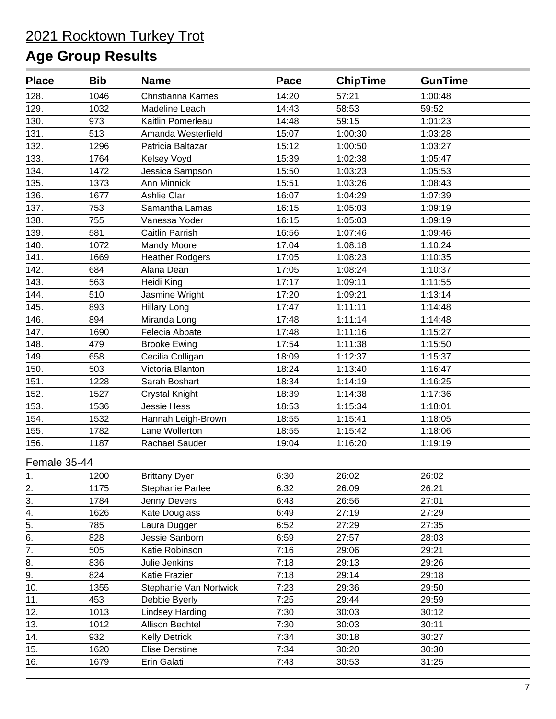| <b>Place</b>     | <b>Bib</b> | <b>Name</b>            | Pace  | <b>ChipTime</b> | <b>GunTime</b> |  |
|------------------|------------|------------------------|-------|-----------------|----------------|--|
| 128.             | 1046       | Christianna Karnes     | 14:20 | 57:21           | 1:00:48        |  |
| 129.             | 1032       | Madeline Leach         | 14:43 | 58:53           | 59:52          |  |
| 130.             | 973        | Kaitlin Pomerleau      | 14:48 | 59:15           | 1:01:23        |  |
| 131.             | 513        | Amanda Westerfield     | 15:07 | 1:00:30         | 1:03:28        |  |
| 132.             | 1296       | Patricia Baltazar      | 15:12 | 1:00:50         | 1:03:27        |  |
| 133.             | 1764       | Kelsey Voyd            | 15:39 | 1:02:38         | 1:05:47        |  |
| 134.             | 1472       | Jessica Sampson        | 15:50 | 1:03:23         | 1:05:53        |  |
| 135.             | 1373       | Ann Minnick            | 15:51 | 1:03:26         | 1:08:43        |  |
| 136.             | 1677       | Ashlie Clar            | 16:07 | 1:04:29         | 1:07:39        |  |
| 137.             | 753        | Samantha Lamas         | 16:15 | 1:05:03         | 1:09:19        |  |
| 138.             | 755        | Vanessa Yoder          | 16:15 | 1:05:03         | 1:09:19        |  |
| 139.             | 581        | Caitlin Parrish        | 16:56 | 1:07:46         | 1:09:46        |  |
| 140.             | 1072       | Mandy Moore            | 17:04 | 1:08:18         | 1:10:24        |  |
| 141.             | 1669       | <b>Heather Rodgers</b> | 17:05 | 1:08:23         | 1:10:35        |  |
| 142.             | 684        | Alana Dean             | 17:05 | 1:08:24         | 1:10:37        |  |
| 143.             | 563        | Heidi King             | 17:17 | 1:09:11         | 1:11:55        |  |
| 144.             | 510        | Jasmine Wright         | 17:20 | 1:09:21         | 1:13:14        |  |
| 145.             | 893        | <b>Hillary Long</b>    | 17:47 | 1:11:11         | 1:14:48        |  |
| 146.             | 894        | Miranda Long           | 17:48 | 1:11:14         | 1:14:48        |  |
| 147.             | 1690       | Felecia Abbate         | 17:48 | 1:11:16         | 1:15:27        |  |
| 148.             | 479        | <b>Brooke Ewing</b>    | 17:54 | 1:11:38         | 1:15:50        |  |
| 149.             | 658        | Cecilia Colligan       | 18:09 | 1:12:37         | 1:15:37        |  |
| 150.             | 503        | Victoria Blanton       | 18:24 | 1:13:40         | 1:16:47        |  |
| 151.             | 1228       | Sarah Boshart          | 18:34 | 1:14:19         | 1:16:25        |  |
| 152.             | 1527       | <b>Crystal Knight</b>  | 18:39 | 1:14:38         | 1:17:36        |  |
| 153.             | 1536       | <b>Jessie Hess</b>     | 18:53 | 1:15:34         | 1:18:01        |  |
| 154.             | 1532       | Hannah Leigh-Brown     | 18:55 | 1:15:41         | 1:18:05        |  |
| 155.             | 1782       | Lane Wollerton         | 18:55 | 1:15:42         | 1:18:06        |  |
| 156.             | 1187       | Rachael Sauder         | 19:04 | 1:16:20         | 1:19:19        |  |
| Female 35-44     |            |                        |       |                 |                |  |
| 1.               | 1200       | <b>Brittany Dyer</b>   | 6:30  | 26:02           | 26:02          |  |
|                  | 1175       | Stephanie Parlee       | 6:32  | 26:09           | 26:21          |  |
| $\frac{2}{3}$ .  | 1784       | Jenny Devers           | 6:43  | 26:56           | 27:01          |  |
| 4.               | 1626       | Kate Douglass          | 6:49  | 27:19           | 27:29          |  |
| 5.               | 785        | Laura Dugger           | 6:52  | 27:29           | 27:35          |  |
|                  | 828        | Jessie Sanborn         | 6:59  | 27:57           | 28:03          |  |
| $rac{6}{7}$      | 505        | Katie Robinson         | 7:16  | 29:06           | 29:21          |  |
| $\overline{8}$ . | 836        | Julie Jenkins          | 7:18  | 29:13           | 29:26          |  |
| $\overline{9}$ . | 824        | Katie Frazier          | 7:18  | 29:14           | 29:18          |  |
| 10.              | 1355       | Stephanie Van Nortwick | 7:23  | 29:36           | 29:50          |  |
| 11.              | 453        | Debbie Byerly          | 7:25  | 29:44           | 29:59          |  |
| 12.              | 1013       | <b>Lindsey Harding</b> | 7:30  | 30:03           | 30:12          |  |
| 13.              | 1012       | Allison Bechtel        | 7:30  | 30:03           | 30:11          |  |
| 14.              | 932        | <b>Kelly Detrick</b>   | 7:34  | 30:18           | 30:27          |  |
| 15.              | 1620       | <b>Elise Derstine</b>  | 7:34  | 30:20           | 30:30          |  |
| 16.              | 1679       | Erin Galati            | 7:43  | 30:53           | 31:25          |  |
|                  |            |                        |       |                 |                |  |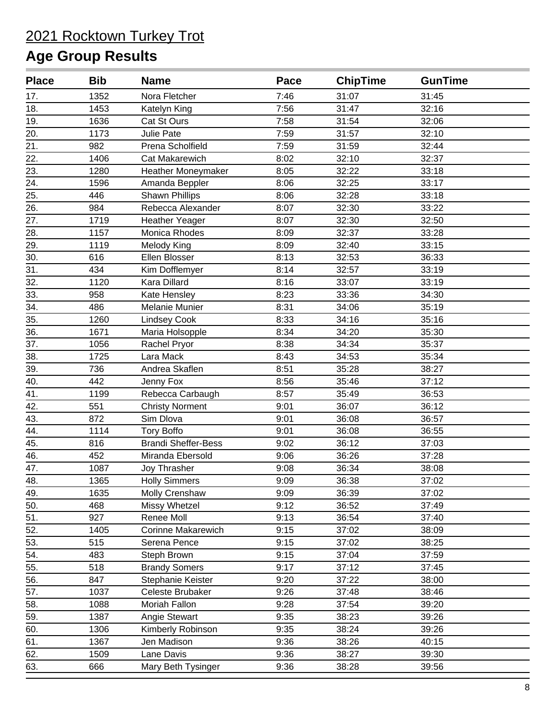| <b>Place</b> | <b>Bib</b> | <b>Name</b>                | Pace | <b>ChipTime</b> | <b>GunTime</b> |  |
|--------------|------------|----------------------------|------|-----------------|----------------|--|
| 17.          | 1352       | Nora Fletcher              | 7:46 | 31:07           | 31:45          |  |
| 18.          | 1453       | Katelyn King               | 7:56 | 31:47           | 32:16          |  |
| 19.          | 1636       | Cat St Ours                | 7:58 | 31:54           | 32:06          |  |
| 20.          | 1173       | <b>Julie Pate</b>          | 7:59 | 31:57           | 32:10          |  |
| 21.          | 982        | Prena Scholfield           | 7:59 | 31:59           | 32:44          |  |
| 22.          | 1406       | <b>Cat Makarewich</b>      | 8:02 | 32:10           | 32:37          |  |
| 23.          | 1280       | Heather Moneymaker         | 8:05 | 32:22           | 33:18          |  |
| 24.          | 1596       | Amanda Beppler             | 8:06 | 32:25           | 33:17          |  |
| 25.          | 446        | <b>Shawn Phillips</b>      | 8:06 | 32:28           | 33:18          |  |
| 26.          | 984        | Rebecca Alexander          | 8:07 | 32:30           | 33:22          |  |
| 27.          | 1719       | <b>Heather Yeager</b>      | 8:07 | 32:30           | 32:50          |  |
| 28.          | 1157       | Monica Rhodes              | 8:09 | 32:37           | 33:28          |  |
| 29.          | 1119       | Melody King                | 8:09 | 32:40           | 33:15          |  |
| 30.          | 616        | Ellen Blosser              | 8:13 | 32:53           | 36:33          |  |
| 31.          | 434        | Kim Dofflemyer             | 8:14 | 32:57           | 33:19          |  |
| 32.          | 1120       | Kara Dillard               | 8:16 | 33:07           | 33:19          |  |
| 33.          | 958        | Kate Hensley               | 8:23 | 33:36           | 34:30          |  |
| 34.          | 486        | Melanie Munier             | 8:31 | 34:06           | 35:19          |  |
| 35.          | 1260       | <b>Lindsey Cook</b>        | 8:33 | 34:16           | 35:16          |  |
| 36.          | 1671       | Maria Holsopple            | 8:34 | 34:20           | 35:30          |  |
| 37.          | 1056       | Rachel Pryor               | 8:38 | 34:34           | 35:37          |  |
| 38.          | 1725       | Lara Mack                  | 8:43 | 34:53           | 35:34          |  |
| 39.          | 736        | Andrea Skaflen             | 8:51 | 35:28           | 38:27          |  |
| 40.          | 442        | Jenny Fox                  | 8:56 | 35:46           | 37:12          |  |
| 41.          | 1199       | Rebecca Carbaugh           | 8:57 | 35:49           | 36:53          |  |
| 42.          | 551        | <b>Christy Norment</b>     | 9:01 | 36:07           | 36:12          |  |
| 43.          | 872        | Sim Dlova                  | 9:01 | 36:08           | 36:57          |  |
| 44.          | 1114       | <b>Tory Boffo</b>          | 9:01 | 36:08           | 36:55          |  |
| 45.          | 816        | <b>Brandi Sheffer-Bess</b> | 9:02 | 36:12           | 37:03          |  |
| 46.          | 452        | Miranda Ebersold           | 9:06 | 36:26           | 37:28          |  |
| 47.          | 1087       | Joy Thrasher               | 9:08 | 36:34           | 38:08          |  |
| 48.          | 1365       | <b>Holly Simmers</b>       | 9:09 | 36:38           | 37:02          |  |
| 49.          | 1635       | <b>Molly Crenshaw</b>      | 9:09 | 36:39           | 37:02          |  |
| 50.          | 468        | Missy Whetzel              | 9:12 | 36:52           | 37:49          |  |
| 51.          | 927        | Renee Moll                 | 9:13 | 36:54           | 37:40          |  |
| 52.          | 1405       | <b>Corinne Makarewich</b>  | 9:15 | 37:02           | 38:09          |  |
| 53.          | 515        | Serena Pence               | 9:15 | 37:02           | 38:25          |  |
| 54.          | 483        | Steph Brown                | 9:15 | 37:04           | 37:59          |  |
| 55.          | 518        | <b>Brandy Somers</b>       | 9:17 | 37:12           | 37:45          |  |
| 56.          | 847        | Stephanie Keister          | 9:20 | 37:22           | 38:00          |  |
| 57.          | 1037       | Celeste Brubaker           | 9:26 | 37:48           | 38:46          |  |
| 58.          | 1088       | Moriah Fallon              | 9:28 | 37:54           | 39:20          |  |
| 59.          | 1387       | Angie Stewart              | 9:35 | 38:23           | 39:26          |  |
| 60.          | 1306       | Kimberly Robinson          | 9:35 | 38:24           | 39:26          |  |
| 61.          | 1367       | Jen Madison                | 9:36 | 38:26           | 40:15          |  |
| 62.          | 1509       | Lane Davis                 | 9:36 | 38:27           | 39:30          |  |
| 63.          | 666        | Mary Beth Tysinger         | 9:36 | 38:28           | 39:56          |  |
|              |            |                            |      |                 |                |  |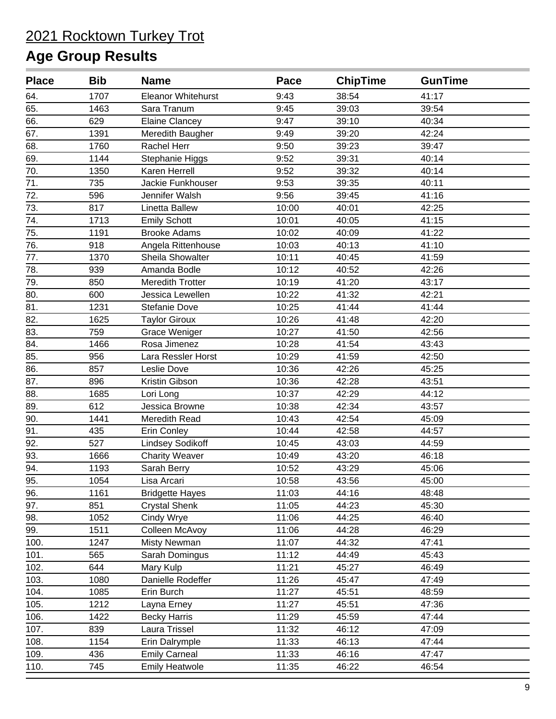| <b>Place</b> | <b>Bib</b> | <b>Name</b>               | Pace  | <b>ChipTime</b> | <b>GunTime</b> |  |
|--------------|------------|---------------------------|-------|-----------------|----------------|--|
| 64.          | 1707       | <b>Eleanor Whitehurst</b> | 9:43  | 38:54           | 41:17          |  |
| 65.          | 1463       | Sara Tranum               | 9:45  | 39:03           | 39:54          |  |
| 66.          | 629        | <b>Elaine Clancey</b>     | 9:47  | 39:10           | 40:34          |  |
| 67.          | 1391       | Meredith Baugher          | 9:49  | 39:20           | 42:24          |  |
| 68.          | 1760       | Rachel Herr               | 9:50  | 39:23           | 39:47          |  |
| 69.          | 1144       | Stephanie Higgs           | 9:52  | 39:31           | 40:14          |  |
| 70.          | 1350       | Karen Herrell             | 9:52  | 39:32           | 40:14          |  |
| 71.          | 735        | Jackie Funkhouser         | 9:53  | 39:35           | 40:11          |  |
| 72.          | 596        | Jennifer Walsh            | 9:56  | 39:45           | 41:16          |  |
| 73.          | 817        | Linetta Ballew            | 10:00 | 40:01           | 42:25          |  |
| 74.          | 1713       | <b>Emily Schott</b>       | 10:01 | 40:05           | 41:15          |  |
| 75.          | 1191       | <b>Brooke Adams</b>       | 10:02 | 40:09           | 41:22          |  |
| 76.          | 918        | Angela Rittenhouse        | 10:03 | 40:13           | 41:10          |  |
| 77.          | 1370       | Sheila Showalter          | 10:11 | 40:45           | 41:59          |  |
| 78.          | 939        | Amanda Bodle              | 10:12 | 40:52           | 42:26          |  |
| 79.          | 850        | <b>Meredith Trotter</b>   | 10:19 | 41:20           | 43:17          |  |
| 80.          | 600        | Jessica Lewellen          | 10:22 | 41:32           | 42:21          |  |
| 81.          | 1231       | <b>Stefanie Dove</b>      | 10:25 | 41:44           | 41:44          |  |
| 82.          | 1625       | <b>Taylor Giroux</b>      | 10:26 | 41:48           | 42:20          |  |
| 83.          | 759        | <b>Grace Weniger</b>      | 10:27 | 41:50           | 42:56          |  |
| 84.          | 1466       | Rosa Jimenez              | 10:28 | 41:54           | 43:43          |  |
| 85.          | 956        | Lara Ressler Horst        | 10:29 | 41:59           | 42:50          |  |
| 86.          | 857        | Leslie Dove               | 10:36 | 42:26           | 45:25          |  |
| 87.          | 896        | Kristin Gibson            | 10:36 | 42:28           | 43:51          |  |
| 88.          | 1685       | Lori Long                 | 10:37 | 42:29           | 44:12          |  |
| 89.          | 612        | Jessica Browne            | 10:38 | 42:34           | 43:57          |  |
| 90.          | 1441       | Meredith Read             | 10:43 | 42:54           | 45:09          |  |
| 91.          | 435        | Erin Conley               | 10:44 | 42:58           | 44:57          |  |
| 92.          | 527        | <b>Lindsey Sodikoff</b>   | 10:45 | 43:03           | 44:59          |  |
| 93.          | 1666       | <b>Charity Weaver</b>     | 10:49 | 43:20           | 46:18          |  |
| 94.          | 1193       | Sarah Berry               | 10:52 | 43:29           | 45:06          |  |
| 95.          | 1054       | Lisa Arcari               | 10:58 | 43:56           | 45:00          |  |
| 96.          | 1161       | <b>Bridgette Hayes</b>    | 11:03 | 44:16           | 48:48          |  |
| 97.          | 851        | <b>Crystal Shenk</b>      | 11:05 | 44:23           | 45:30          |  |
| 98.          | 1052       | Cindy Wrye                | 11:06 | 44:25           | 46:40          |  |
| 99.          | 1511       | Colleen McAvoy            | 11:06 | 44:28           | 46:29          |  |
| 100.         | 1247       | Misty Newman              | 11:07 | 44:32           | 47:41          |  |
| 101.         | 565        | Sarah Domingus            | 11:12 | 44:49           | 45:43          |  |
| 102.         | 644        | Mary Kulp                 | 11:21 | 45:27           | 46:49          |  |
| 103.         | 1080       | Danielle Rodeffer         | 11:26 | 45:47           | 47:49          |  |
| 104.         | 1085       | Erin Burch                | 11:27 | 45:51           | 48:59          |  |
| 105.         | 1212       | Layna Erney               | 11:27 | 45:51           | 47:36          |  |
| 106.         | 1422       | <b>Becky Harris</b>       | 11:29 | 45:59           | 47:44          |  |
| 107.         | 839        | Laura Trissel             | 11:32 | 46:12           | 47:09          |  |
| 108.         | 1154       | Erin Dalrymple            | 11:33 | 46:13           | 47:44          |  |
| 109.         | 436        | <b>Emily Carneal</b>      | 11:33 | 46:16           | 47:47          |  |
| 110.         | 745        | <b>Emily Heatwole</b>     | 11:35 | 46:22           | 46:54          |  |
|              |            |                           |       |                 |                |  |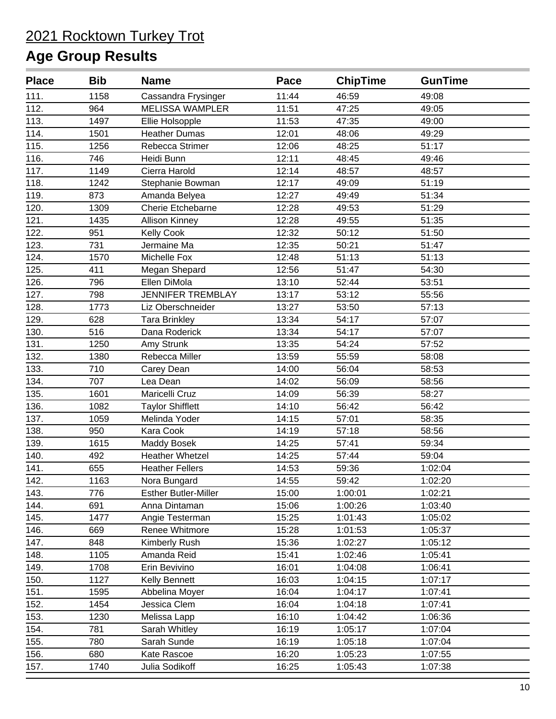| <b>Place</b> | <b>Bib</b> | <b>Name</b>                 | Pace  | <b>ChipTime</b> | <b>GunTime</b> |  |
|--------------|------------|-----------------------------|-------|-----------------|----------------|--|
| 111.         | 1158       | Cassandra Frysinger         | 11:44 | 46:59           | 49:08          |  |
| 112.         | 964        | <b>MELISSA WAMPLER</b>      | 11:51 | 47:25           | 49:05          |  |
| 113.         | 1497       | Ellie Holsopple             | 11:53 | 47:35           | 49:00          |  |
| 114.         | 1501       | <b>Heather Dumas</b>        | 12:01 | 48:06           | 49:29          |  |
| 115.         | 1256       | Rebecca Strimer             | 12:06 | 48:25           | 51:17          |  |
| 116.         | 746        | Heidi Bunn                  | 12:11 | 48:45           | 49:46          |  |
| 117.         | 1149       | Cierra Harold               | 12:14 | 48:57           | 48:57          |  |
| 118.         | 1242       | Stephanie Bowman            | 12:17 | 49:09           | 51:19          |  |
| 119.         | 873        | Amanda Belyea               | 12:27 | 49:49           | 51:34          |  |
| 120.         | 1309       | Cherie Etchebarne           | 12:28 | 49:53           | 51:29          |  |
| 121.         | 1435       | <b>Allison Kinney</b>       | 12:28 | 49:55           | 51:35          |  |
| 122.         | 951        | <b>Kelly Cook</b>           | 12:32 | 50:12           | 51:50          |  |
| 123.         | 731        | Jermaine Ma                 | 12:35 | 50:21           | 51:47          |  |
| 124.         | 1570       | Michelle Fox                | 12:48 | 51:13           | 51:13          |  |
| 125.         | 411        | Megan Shepard               | 12:56 | 51:47           | 54:30          |  |
| 126.         | 796        | Ellen DiMola                | 13:10 | 52:44           | 53:51          |  |
| 127.         | 798        | <b>JENNIFER TREMBLAY</b>    | 13:17 | 53:12           | 55:56          |  |
| 128.         | 1773       | Liz Oberschneider           | 13:27 | 53:50           | 57:13          |  |
| 129.         | 628        | <b>Tara Brinkley</b>        | 13:34 | 54:17           | 57:07          |  |
| 130.         | 516        | Dana Roderick               | 13:34 | 54:17           | 57:07          |  |
| 131.         | 1250       | Amy Strunk                  | 13:35 | 54:24           | 57:52          |  |
| 132.         | 1380       | Rebecca Miller              | 13:59 | 55:59           | 58:08          |  |
| 133.         | 710        | Carey Dean                  | 14:00 | 56:04           | 58:53          |  |
| 134.         | 707        | Lea Dean                    | 14:02 | 56:09           | 58:56          |  |
| 135.         | 1601       | Maricelli Cruz              | 14:09 | 56:39           | 58:27          |  |
| 136.         | 1082       | <b>Taylor Shifflett</b>     | 14:10 | 56:42           | 56:42          |  |
| 137.         | 1059       | Melinda Yoder               | 14:15 | 57:01           | 58:35          |  |
| 138.         | 950        | Kara Cook                   | 14:19 | 57:18           | 58:56          |  |
| 139.         | 1615       | <b>Maddy Bosek</b>          | 14:25 | 57:41           | 59:34          |  |
| 140.         | 492        | <b>Heather Whetzel</b>      | 14:25 | 57:44           | 59:04          |  |
| 141.         | 655        | <b>Heather Fellers</b>      | 14:53 | 59:36           | 1:02:04        |  |
| 142.         | 1163       | Nora Bungard                | 14:55 | 59:42           | 1:02:20        |  |
| 143.         | 776        | <b>Esther Butler-Miller</b> | 15:00 | 1:00:01         | 1:02:21        |  |
| 144.         | 691        | Anna Dintaman               | 15:06 | 1:00:26         | 1:03:40        |  |
| 145.         | 1477       | Angie Testerman             | 15:25 | 1:01:43         | 1:05:02        |  |
| 146.         | 669        | Renee Whitmore              | 15:28 | 1:01:53         | 1:05:37        |  |
| 147.         | 848        | Kimberly Rush               | 15:36 | 1:02:27         | 1:05:12        |  |
| 148.         | 1105       | Amanda Reid                 | 15:41 | 1:02:46         | 1:05:41        |  |
| 149.         | 1708       | Erin Bevivino               | 16:01 | 1:04:08         | 1:06:41        |  |
| 150.         | 1127       | Kelly Bennett               | 16:03 | 1:04:15         | 1:07:17        |  |
| 151.         | 1595       | Abbelina Moyer              | 16:04 | 1:04:17         | 1:07:41        |  |
| 152.         | 1454       | Jessica Clem                | 16:04 | 1:04:18         | 1:07:41        |  |
| 153.         | 1230       | Melissa Lapp                | 16:10 | 1:04:42         | 1:06:36        |  |
| 154.         | 781        | Sarah Whitley               | 16:19 | 1:05:17         | 1:07:04        |  |
| 155.         | 780        | Sarah Sunde                 | 16:19 | 1:05:18         | 1:07:04        |  |
| 156.         | 680        | Kate Rascoe                 | 16:20 | 1:05:23         | 1:07:55        |  |
| 157.         | 1740       | Julia Sodikoff              | 16:25 | 1:05:43         | 1:07:38        |  |
|              |            |                             |       |                 |                |  |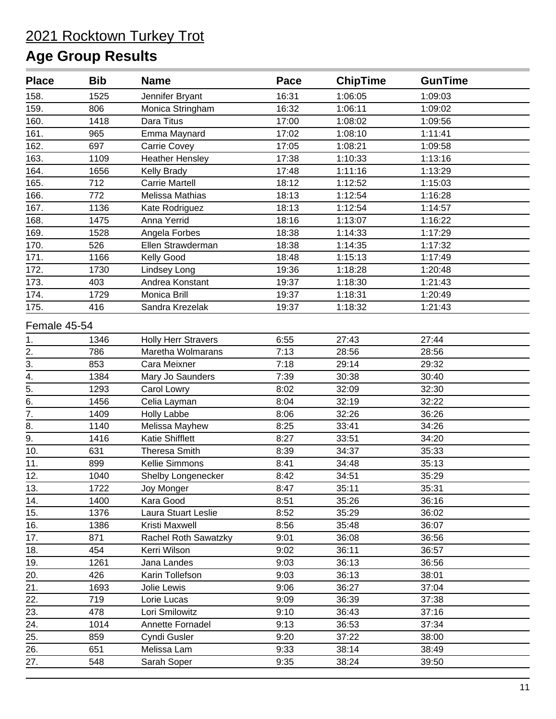| <b>Place</b>     | <b>Bib</b> | <b>Name</b>                | Pace  | <b>ChipTime</b> | <b>GunTime</b> |  |
|------------------|------------|----------------------------|-------|-----------------|----------------|--|
| 158.             | 1525       | Jennifer Bryant            | 16:31 | 1:06:05         | 1:09:03        |  |
| 159.             | 806        | Monica Stringham           | 16:32 | 1:06:11         | 1:09:02        |  |
| 160.             | 1418       | Dara Titus                 | 17:00 | 1:08:02         | 1:09:56        |  |
| 161.             | 965        | Emma Maynard               | 17:02 | 1:08:10         | 1:11:41        |  |
| 162.             | 697        | Carrie Covey               | 17:05 | 1:08:21         | 1:09:58        |  |
| 163.             | 1109       | <b>Heather Hensley</b>     | 17:38 | 1:10:33         | 1:13:16        |  |
| 164.             | 1656       | Kelly Brady                | 17:48 | 1:11:16         | 1:13:29        |  |
| 165.             | 712        | <b>Carrie Martell</b>      | 18:12 | 1:12:52         | 1:15:03        |  |
| 166.             | 772        | Melissa Mathias            | 18:13 | 1:12:54         | 1:16:28        |  |
| 167.             | 1136       | Kate Rodriguez             | 18:13 | 1:12:54         | 1:14:57        |  |
| 168.             | 1475       | Anna Yerrid                | 18:16 | 1:13:07         | 1:16:22        |  |
| 169.             | 1528       | Angela Forbes              | 18:38 | 1:14:33         | 1:17:29        |  |
| 170.             | 526        | Ellen Strawderman          | 18:38 | 1:14:35         | 1:17:32        |  |
| 171.             | 1166       | Kelly Good                 | 18:48 | 1:15:13         | 1:17:49        |  |
| 172.             | 1730       | Lindsey Long               | 19:36 | 1:18:28         | 1:20:48        |  |
| 173.             | 403        | Andrea Konstant            | 19:37 | 1:18:30         | 1:21:43        |  |
| 174.             | 1729       | Monica Brill               | 19:37 | 1:18:31         | 1:20:49        |  |
| 175.             | 416        | Sandra Krezelak            | 19:37 | 1:18:32         | 1:21:43        |  |
| Female 45-54     |            |                            |       |                 |                |  |
| 1.               | 1346       | <b>Holly Herr Stravers</b> | 6:55  | 27:43           | 27:44          |  |
| 2.               | 786        | Maretha Wolmarans          | 7:13  | 28:56           | 28:56          |  |
| 3.               | 853        | Cara Meixner               | 7:18  | 29:14           | 29:32          |  |
| 4.               | 1384       | Mary Jo Saunders           | 7:39  | 30:38           | 30:40          |  |
| $\overline{5}$ . | 1293       | Carol Lowry                | 8:02  | 32:09           | 32:30          |  |
| $\overline{6}$ . | 1456       | Celia Layman               | 8:04  | 32:19           | 32:22          |  |
| $\overline{7}$ . | 1409       | <b>Holly Labbe</b>         | 8:06  | 32:26           | 36:26          |  |
| 8.               | 1140       | Melissa Mayhew             | 8:25  | 33:41           | 34:26          |  |
| $\overline{9}$ . | 1416       | <b>Katie Shifflett</b>     | 8:27  | 33:51           | 34:20          |  |
| 10.              | 631        | <b>Theresa Smith</b>       | 8:39  | 34:37           | 35:33          |  |
| 11.              | 899        | Kellie Simmons             | 8:41  | 34:48           | 35:13          |  |
| 12.              | 1040       | Shelby Longenecker         | 8:42  | 34:51           | 35:29          |  |
| 13.              | 1722       | Joy Monger                 | 8:47  | 35:11           | 35:31          |  |
| 14.              | 1400       | Kara Good                  | 8:51  | 35:26           | 36:16          |  |
| 15.              | 1376       | Laura Stuart Leslie        | 8:52  | 35:29           | 36:02          |  |
| 16.              | 1386       | Kristi Maxwell             | 8:56  | 35:48           | 36:07          |  |
| 17.              | 871        | Rachel Roth Sawatzky       | 9:01  | 36:08           | 36:56          |  |
| 18.              | 454        | Kerri Wilson               | 9:02  | 36:11           | 36:57          |  |
| 19.              | 1261       | Jana Landes                | 9:03  | 36:13           | 36:56          |  |
| 20.              | 426        | Karin Tollefson            | 9:03  | 36:13           | 38:01          |  |
| 21.              | 1693       | Jolie Lewis                | 9:06  | 36:27           | 37:04          |  |
| 22.              | 719        | Lorie Lucas                | 9:09  | 36:39           | 37:38          |  |
| 23.              | 478        | Lori Smilowitz             | 9:10  | 36:43           | 37:16          |  |
| 24.              | 1014       | Annette Fornadel           | 9:13  | 36:53           | 37:34          |  |
| 25.              | 859        | Cyndi Gusler               | 9:20  | 37:22           | 38:00          |  |
| 26.              | 651        | Melissa Lam                | 9:33  | 38:14           | 38:49          |  |
| 27.              | 548        | Sarah Soper                | 9:35  | 38:24           | 39:50          |  |
|                  |            |                            |       |                 |                |  |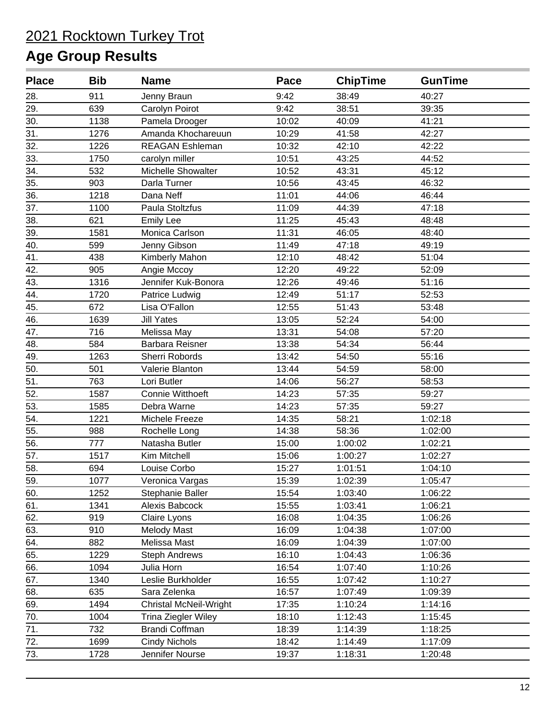| <b>Place</b>      | <b>Bib</b> | <b>Name</b>                   | Pace  | <b>ChipTime</b> | <b>GunTime</b> |  |
|-------------------|------------|-------------------------------|-------|-----------------|----------------|--|
| 28.               | 911        | Jenny Braun                   | 9:42  | 38:49           | 40:27          |  |
| 29.               | 639        | Carolyn Poirot                | 9:42  | 38:51           | 39:35          |  |
| 30.               | 1138       | Pamela Drooger                | 10:02 | 40:09           | 41:21          |  |
| 31.               | 1276       | Amanda Khochareuun            | 10:29 | 41:58           | 42:27          |  |
| 32.               | 1226       | <b>REAGAN Eshleman</b>        | 10:32 | 42:10           | 42:22          |  |
| 33.               | 1750       | carolyn miller                | 10:51 | 43:25           | 44:52          |  |
| 34.               | 532        | Michelle Showalter            | 10:52 | 43:31           | 45:12          |  |
| 35.               | 903        | Darla Turner                  | 10:56 | 43:45           | 46:32          |  |
| 36.               | 1218       | Dana Neff                     | 11:01 | 44:06           | 46:44          |  |
| 37.               | 1100       | Paula Stoltzfus               | 11:09 | 44:39           | 47:18          |  |
| 38.               | 621        | <b>Emily Lee</b>              | 11:25 | 45:43           | 48:48          |  |
| 39.               | 1581       | Monica Carlson                | 11:31 | 46:05           | 48:40          |  |
| 40.               | 599        | Jenny Gibson                  | 11:49 | 47:18           | 49:19          |  |
| 41.               | 438        | Kimberly Mahon                | 12:10 | 48:42           | 51:04          |  |
| 42.               | 905        | Angie Mccoy                   | 12:20 | 49:22           | 52:09          |  |
| 43.               | 1316       | Jennifer Kuk-Bonora           | 12:26 | 49:46           | 51:16          |  |
| 44.               | 1720       | Patrice Ludwig                | 12:49 | 51:17           | 52:53          |  |
| 45.               | 672        | Lisa O'Fallon                 | 12:55 | 51:43           | 53:48          |  |
| 46.               | 1639       | <b>Jill Yates</b>             | 13:05 | 52:24           | 54:00          |  |
| 47.               | 716        | Melissa May                   | 13:31 | 54:08           | 57:20          |  |
| 48.               | 584        | <b>Barbara Reisner</b>        | 13:38 | 54:34           | 56:44          |  |
| 49.               | 1263       | Sherri Robords                | 13:42 | 54:50           | 55:16          |  |
| 50.               | 501        | Valerie Blanton               | 13:44 | 54:59           | 58:00          |  |
| 51.               | 763        | Lori Butler                   | 14:06 | 56:27           | 58:53          |  |
| 52.               | 1587       | Connie Witthoeft              | 14:23 | 57:35           | 59:27          |  |
| 53.               | 1585       | Debra Warne                   | 14:23 | 57:35           | 59:27          |  |
| 54.               | 1221       | Michele Freeze                | 14:35 | 58:21           | 1:02:18        |  |
| 55.               | 988        | Rochelle Long                 | 14:38 | 58:36           | 1:02:00        |  |
| 56.               | 777        | Natasha Butler                | 15:00 | 1:00:02         | 1:02:21        |  |
| $\overline{57}$ . | 1517       | Kim Mitchell                  | 15:06 | 1:00:27         | 1:02:27        |  |
| 58.               | 694        | Louise Corbo                  | 15:27 | 1:01:51         | 1:04:10        |  |
| 59.               | 1077       | Veronica Vargas               | 15:39 | 1:02:39         | 1:05:47        |  |
| 60.               | 1252       | Stephanie Baller              | 15:54 | 1:03:40         | 1:06:22        |  |
| 61.               | 1341       | Alexis Babcock                | 15:55 | 1:03:41         | 1:06:21        |  |
| 62.               | 919        | Claire Lyons                  | 16:08 | 1:04:35         | 1:06:26        |  |
| 63.               | 910        | <b>Melody Mast</b>            | 16:09 | 1:04:38         | 1:07:00        |  |
| 64.               | 882        | Melissa Mast                  | 16:09 | 1:04:39         | 1:07:00        |  |
| 65.               | 1229       | <b>Steph Andrews</b>          | 16:10 | 1:04:43         | 1:06:36        |  |
| 66.               | 1094       | Julia Horn                    | 16:54 | 1:07:40         | 1:10:26        |  |
| 67.               | 1340       | Leslie Burkholder             | 16:55 | 1:07:42         | 1:10:27        |  |
| 68.               | 635        | Sara Zelenka                  | 16:57 | 1:07:49         | 1:09:39        |  |
| 69.               | 1494       | <b>Christal McNeil-Wright</b> | 17:35 | 1:10:24         | 1:14:16        |  |
| 70.               | 1004       | Trina Ziegler Wiley           | 18:10 | 1:12:43         | 1:15:45        |  |
| 71.               | 732        | <b>Brandi Coffman</b>         | 18:39 | 1:14:39         | 1:18:25        |  |
| 72.               | 1699       | <b>Cindy Nichols</b>          | 18:42 | 1:14:49         | 1:17:09        |  |
| 73.               | 1728       | Jennifer Nourse               | 19:37 | 1:18:31         | 1:20:48        |  |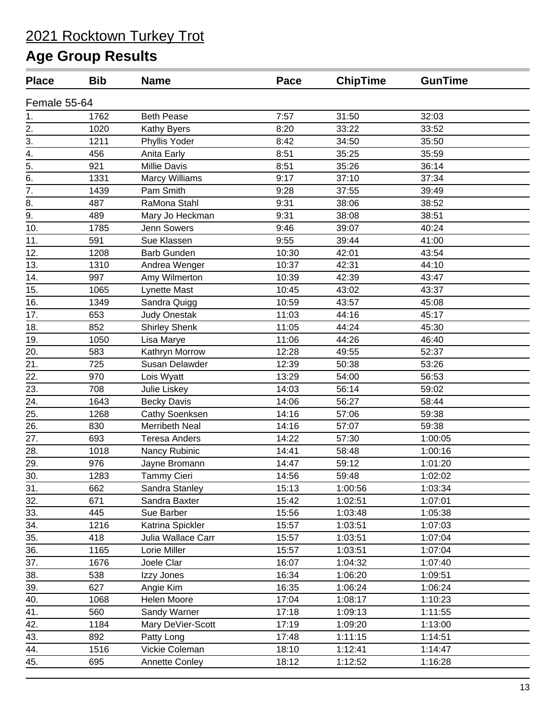| <b>Place</b>     | <b>Bib</b> | <b>Name</b>           | Pace  | <b>ChipTime</b> | <b>GunTime</b> |  |
|------------------|------------|-----------------------|-------|-----------------|----------------|--|
| Female 55-64     |            |                       |       |                 |                |  |
| 1.               | 1762       | <b>Beth Pease</b>     | 7:57  | 31:50           | 32:03          |  |
| 2.               | 1020       | Kathy Byers           | 8:20  | 33:22           | 33:52          |  |
| 3.               | 1211       | Phyllis Yoder         | 8:42  | 34:50           | 35:50          |  |
| 4.               | 456        | Anita Early           | 8:51  | 35:25           | 35:59          |  |
| $\overline{5}$ . | 921        | Millie Davis          | 8:51  | 35:26           | 36:14          |  |
| 6.               | 1331       | <b>Marcy Williams</b> | 9:17  | 37:10           | 37:34          |  |
| 7.               | 1439       | Pam Smith             | 9:28  | 37:55           | 39:49          |  |
| 8.               | 487        | RaMona Stahl          | 9:31  | 38:06           | 38:52          |  |
| 9.               | 489        | Mary Jo Heckman       | 9:31  | 38:08           | 38:51          |  |
| 10.              | 1785       | Jenn Sowers           | 9:46  | 39:07           | 40:24          |  |
| 11.              | 591        | Sue Klassen           | 9:55  | 39:44           | 41:00          |  |
| 12.              | 1208       | <b>Barb Gunden</b>    | 10:30 | 42:01           | 43:54          |  |
| 13.              | 1310       | Andrea Wenger         | 10:37 | 42:31           | 44:10          |  |
| 14.              | 997        | Amy Wilmerton         | 10:39 | 42:39           | 43:47          |  |
| 15.              | 1065       | Lynette Mast          | 10:45 | 43:02           | 43:37          |  |
| 16.              | 1349       | Sandra Quigg          | 10:59 | 43:57           | 45:08          |  |
| 17.              | 653        | <b>Judy Onestak</b>   | 11:03 | 44:16           | 45:17          |  |
| 18.              | 852        | <b>Shirley Shenk</b>  | 11:05 | 44:24           | 45:30          |  |
| 19.              | 1050       | Lisa Marye            | 11:06 | 44:26           | 46:40          |  |
| 20.              | 583        | Kathryn Morrow        | 12:28 | 49:55           | 52:37          |  |
| 21.              | 725        | Susan Delawder        | 12:39 | 50:38           | 53:26          |  |
| 22.              | 970        | Lois Wyatt            | 13:29 | 54:00           | 56:53          |  |
| 23.              | 708        | Julie Liskey          | 14:03 | 56:14           | 59:02          |  |
| 24.              | 1643       | <b>Becky Davis</b>    | 14:06 | 56:27           | 58:44          |  |
| 25.              | 1268       | <b>Cathy Soenksen</b> | 14:16 | 57:06           | 59:38          |  |
| 26.              | 830        | <b>Merribeth Neal</b> | 14:16 | 57:07           | 59:38          |  |
| 27.              | 693        | <b>Teresa Anders</b>  | 14:22 | 57:30           | 1:00:05        |  |
| 28.              | 1018       | Nancy Rubinic         | 14:41 | 58:48           | 1:00:16        |  |
| 29.              | 976        | Jayne Bromann         | 14:47 | 59:12           | 1:01:20        |  |
| 30.              | 1283       | <b>Tammy Cieri</b>    | 14:56 | 59:48           | 1:02:02        |  |
| 31.              | 662        | Sandra Stanley        | 15:13 | 1:00:56         | 1:03:34        |  |
| 32.              | 671        | Sandra Baxter         | 15:42 | 1:02:51         | 1:07:01        |  |
| 33.              | 445        | Sue Barber            | 15:56 | 1:03:48         | 1:05:38        |  |
| 34.              | 1216       | Katrina Spickler      | 15:57 | 1:03:51         | 1:07:03        |  |
| 35.              | 418        | Julia Wallace Carr    | 15:57 | 1:03:51         | 1:07:04        |  |
| 36.              | 1165       | Lorie Miller          | 15:57 | 1:03:51         | 1:07:04        |  |
| 37.              | 1676       | Joele Clar            | 16:07 | 1:04:32         | 1:07:40        |  |
| 38.              | 538        | Izzy Jones            | 16:34 | 1:06:20         | 1:09:51        |  |
| 39.              | 627        | Angie Kim             | 16:35 | 1:06:24         | 1:06:24        |  |
| 40.              | 1068       | Helen Moore           | 17:04 | 1:08:17         | 1:10:23        |  |
| 41.              | 560        | Sandy Warner          | 17:18 | 1:09:13         | 1:11:55        |  |
| 42.              | 1184       | Mary DeVier-Scott     | 17:19 | 1:09:20         | 1:13:00        |  |
| 43.              | 892        | Patty Long            | 17:48 | 1:11:15         | 1:14:51        |  |
| 44.              | 1516       | Vickie Coleman        | 18:10 | 1:12:41         | 1:14:47        |  |
| 45.              | 695        | Annette Conley        | 18:12 | 1:12:52         | 1:16:28        |  |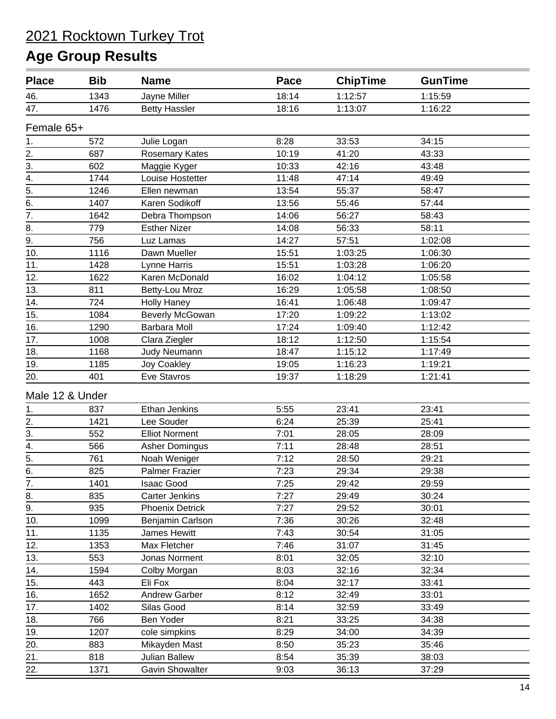| <b>Place</b>                                          | <b>Bib</b> | <b>Name</b>            | Pace  | <b>ChipTime</b> | <b>GunTime</b> |  |
|-------------------------------------------------------|------------|------------------------|-------|-----------------|----------------|--|
| 46.                                                   | 1343       | Jayne Miller           | 18:14 | 1:12:57         | 1:15:59        |  |
| 47.                                                   | 1476       | <b>Betty Hassler</b>   | 18:16 | 1:13:07         | 1:16:22        |  |
| Female 65+                                            |            |                        |       |                 |                |  |
| 1.                                                    | 572        | Julie Logan            | 8:28  | 33:53           | 34:15          |  |
|                                                       | 687        | Rosemary Kates         | 10:19 | 41:20           | 43:33          |  |
| $\frac{2}{3}$ .                                       | 602        | Maggie Kyger           | 10:33 | 42:16           | 43:48          |  |
| $\overline{4}$ .                                      | 1744       | Louise Hostetter       | 11:48 | 47:14           | 49:49          |  |
| $\overline{5}$ .                                      | 1246       | Ellen newman           | 13:54 | 55:37           | 58:47          |  |
| $\overline{6}$ .                                      | 1407       | Karen Sodikoff         | 13:56 | 55:46           | 57:44          |  |
| $\overline{7}$ .                                      | 1642       | Debra Thompson         | 14:06 | 56:27           | 58:43          |  |
| 8.                                                    | 779        | <b>Esther Nizer</b>    | 14:08 | 56:33           | 58:11          |  |
| $\overline{9}$ .                                      | 756        | Luz Lamas              | 14:27 | 57:51           | 1:02:08        |  |
| 10.                                                   | 1116       | Dawn Mueller           | 15:51 | 1:03:25         | 1:06:30        |  |
| 11.                                                   | 1428       | Lynne Harris           | 15:51 | 1:03:28         | 1:06:20        |  |
| 12.                                                   | 1622       | Karen McDonald         | 16:02 | 1:04:12         | 1:05:58        |  |
| 13.                                                   | 811        | Betty-Lou Mroz         | 16:29 | 1:05:58         | 1:08:50        |  |
| 14.                                                   | 724        | <b>Holly Haney</b>     | 16:41 | 1:06:48         | 1:09:47        |  |
| 15.                                                   | 1084       | <b>Beverly McGowan</b> | 17:20 | 1:09:22         | 1:13:02        |  |
| 16.                                                   | 1290       | <b>Barbara Moll</b>    | 17:24 | 1:09:40         | 1:12:42        |  |
| 17.                                                   | 1008       | Clara Ziegler          | 18:12 | 1:12:50         | 1:15:54        |  |
| 18.                                                   | 1168       | Judy Neumann           | 18:47 | 1:15:12         | 1:17:49        |  |
| 19.                                                   | 1185       | Joy Coakley            | 19:05 | 1:16:23         | 1:19:21        |  |
| 20.                                                   | 401        | Eve Stavros            | 19:37 | 1:18:29         | 1:21:41        |  |
| Male 12 & Under                                       |            |                        |       |                 |                |  |
|                                                       | 837        | Ethan Jenkins          | 5:55  | 23:41           | 23:41          |  |
|                                                       | 1421       | Lee Souder             | 6:24  | 25:39           | 25:41          |  |
| $\frac{1}{2}$ .<br>$\frac{2}{3}$ .<br>$\frac{3}{4}$ . | 552        | <b>Elliot Norment</b>  | 7:01  | 28:05           | 28:09          |  |
|                                                       | 566        | <b>Asher Domingus</b>  | 7:11  | 28:48           | 28:51          |  |
| $\overline{5}$ .                                      | 761        | Noah Weniger           | 7:12  | 28:50           | 29:21          |  |
| 6.                                                    | 825        | <b>Palmer Frazier</b>  | 7:23  | 29:34           | 29:38          |  |
| 7.                                                    | 1401       | Isaac Good             | 7:25  | 29:42           | 29:59          |  |
| 8.                                                    | 835        | <b>Carter Jenkins</b>  | 7:27  | 29:49           | 30:24          |  |
| 9.                                                    | 935        | <b>Phoenix Detrick</b> | 7:27  | 29:52           | 30:01          |  |
| 10.                                                   | 1099       | Benjamin Carlson       | 7:36  | 30:26           | 32:48          |  |
| 11.                                                   | 1135       | James Hewitt           | 7:43  | 30:54           | 31:05          |  |
| 12.                                                   | 1353       | Max Fletcher           | 7:46  | 31:07           | 31:45          |  |
| 13.                                                   | 553        | Jonas Norment          | 8:01  | 32:05           | 32:10          |  |
| 14.                                                   | 1594       | Colby Morgan           | 8:03  | 32:16           | 32:34          |  |
| 15.                                                   | 443        | Eli Fox                | 8:04  | 32:17           | 33:41          |  |
| 16.                                                   | 1652       | Andrew Garber          | 8:12  | 32:49           | 33:01          |  |
| 17.                                                   | 1402       | Silas Good             | 8:14  | 32:59           | 33:49          |  |
| 18.                                                   | 766        | Ben Yoder              | 8:21  | 33:25           | 34:38          |  |
| 19.                                                   | 1207       | cole simpkins          | 8:29  | 34:00           | 34:39          |  |
| 20.                                                   | 883        | Mikayden Mast          | 8:50  | 35:23           | 35:46          |  |
| 21.                                                   | 818        | Julian Ballew          | 8:54  | 35:39           | 38:03          |  |
| 22.                                                   | 1371       | <b>Gavin Showalter</b> | 9:03  | 36:13           | 37:29          |  |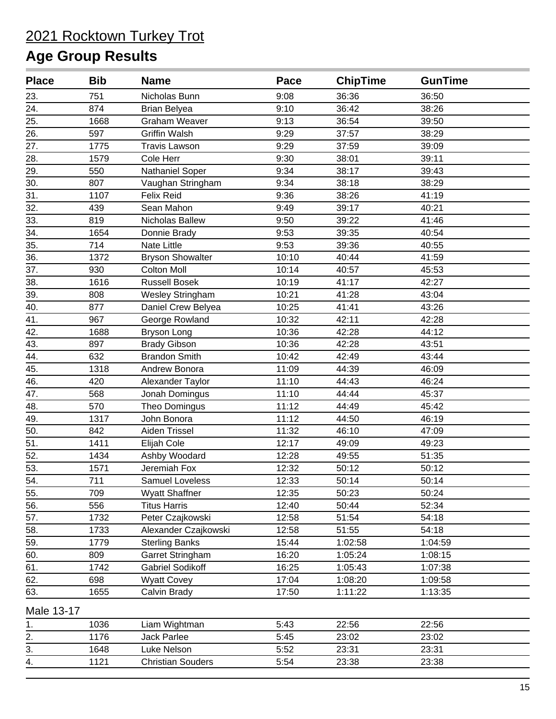| <b>Place</b> | <b>Bib</b> | <b>Name</b>              | <b>Pace</b> | <b>ChipTime</b> | <b>GunTime</b> |  |
|--------------|------------|--------------------------|-------------|-----------------|----------------|--|
| 23.          | 751        | Nicholas Bunn            | 9:08        | 36:36           | 36:50          |  |
| 24.          | 874        | <b>Brian Belyea</b>      | 9:10        | 36:42           | 38:26          |  |
| 25.          | 1668       | <b>Graham Weaver</b>     | 9:13        | 36:54           | 39:50          |  |
| 26.          | 597        | <b>Griffin Walsh</b>     | 9:29        | 37:57           | 38:29          |  |
| 27.          | 1775       | <b>Travis Lawson</b>     | 9:29        | 37:59           | 39:09          |  |
| 28.          | 1579       | Cole Herr                | 9:30        | 38:01           | 39:11          |  |
| 29.          | 550        | Nathaniel Soper          | 9:34        | 38:17           | 39:43          |  |
| 30.          | 807        | Vaughan Stringham        | 9:34        | 38:18           | 38:29          |  |
| 31.          | 1107       | Felix Reid               | 9:36        | 38:26           | 41:19          |  |
| 32.          | 439        | Sean Mahon               | 9:49        | 39:17           | 40:21          |  |
| 33.          | 819        | Nicholas Ballew          | 9:50        | 39:22           | 41:46          |  |
| 34.          | 1654       | Donnie Brady             | 9:53        | 39:35           | 40:54          |  |
| 35.          | 714        | <b>Nate Little</b>       | 9:53        | 39:36           | 40:55          |  |
| 36.          | 1372       | <b>Bryson Showalter</b>  | 10:10       | 40:44           | 41:59          |  |
| 37.          | 930        | <b>Colton Moll</b>       | 10:14       | 40:57           | 45:53          |  |
| 38.          | 1616       | <b>Russell Bosek</b>     | 10:19       | 41:17           | 42:27          |  |
| 39.          | 808        | Wesley Stringham         | 10:21       | 41:28           | 43:04          |  |
| 40.          | 877        | Daniel Crew Belyea       | 10:25       | 41:41           | 43:26          |  |
| 41.          | 967        | George Rowland           | 10:32       | 42:11           | 42:28          |  |
| 42.          | 1688       | <b>Bryson Long</b>       | 10:36       | 42:28           | 44:12          |  |
| 43.          | 897        | <b>Brady Gibson</b>      | 10:36       | 42:28           | 43:51          |  |
| 44.          | 632        | <b>Brandon Smith</b>     | 10:42       | 42:49           | 43:44          |  |
| 45.          | 1318       | Andrew Bonora            | 11:09       | 44:39           | 46:09          |  |
| 46.          | 420        | Alexander Taylor         | 11:10       | 44:43           | 46:24          |  |
| 47.          | 568        | Jonah Domingus           | 11:10       | 44:44           | 45:37          |  |
| 48.          | 570        | Theo Domingus            | 11:12       | 44:49           | 45:42          |  |
| 49.          | 1317       | John Bonora              | 11:12       | 44:50           | 46:19          |  |
| 50.          | 842        | Aiden Trissel            | 11:32       | 46:10           | 47:09          |  |
| 51.          | 1411       | Elijah Cole              | 12:17       | 49:09           | 49:23          |  |
| 52.          | 1434       | Ashby Woodard            | 12:28       | 49:55           | 51:35          |  |
| 53.          | 1571       | Jeremiah Fox             | 12:32       | 50:12           | 50:12          |  |
| 54.          | 711        | Samuel Loveless          | 12:33       | 50:14           | 50:14          |  |
| 55.          | 709        | <b>Wyatt Shaffner</b>    | 12:35       | 50:23           | 50:24          |  |
| 56.          | 556        | <b>Titus Harris</b>      | 12:40       | 50:44           | 52:34          |  |
| 57.          | 1732       | Peter Czajkowski         | 12:58       | 51:54           | 54:18          |  |
| 58.          | 1733       | Alexander Czajkowski     | 12:58       | 51:55           | 54:18          |  |
| 59.          | 1779       | <b>Sterling Banks</b>    | 15:44       | 1:02:58         | 1:04:59        |  |
| 60.          | 809        | Garret Stringham         | 16:20       | 1:05:24         | 1:08:15        |  |
| 61.          | 1742       | <b>Gabriel Sodikoff</b>  | 16:25       | 1:05:43         | 1:07:38        |  |
| 62.          | 698        | <b>Wyatt Covey</b>       | 17:04       | 1:08:20         | 1:09:58        |  |
| 63.          | 1655       | Calvin Brady             | 17:50       | 1:11:22         | 1:13:35        |  |
| Male 13-17   |            |                          |             |                 |                |  |
| 1.           | 1036       | Liam Wightman            | 5:43        | 22:56           | 22:56          |  |
| 2.           | 1176       | Jack Parlee              | 5:45        | 23:02           | 23:02          |  |
| 3.           | 1648       | Luke Nelson              | 5:52        | 23:31           | 23:31          |  |
| 4.           | 1121       | <b>Christian Souders</b> | 5:54        | 23:38           | 23:38          |  |
|              |            |                          |             |                 |                |  |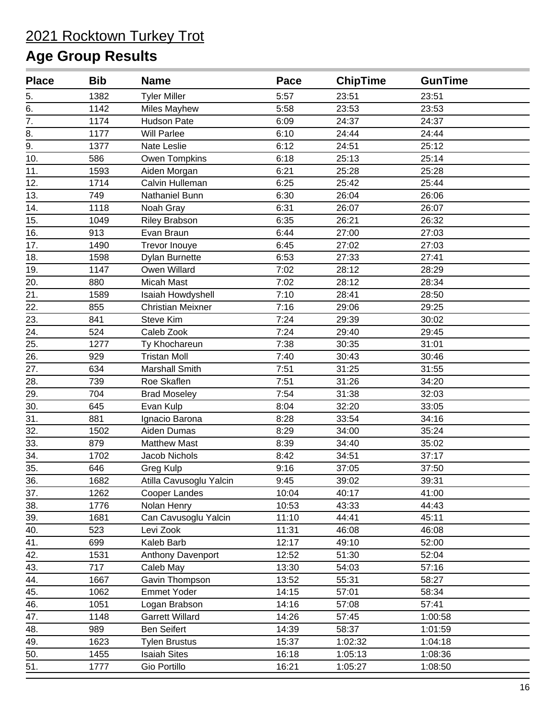| <b>Place</b>     | <b>Bib</b> | <b>Name</b>              | Pace  | <b>ChipTime</b> | <b>GunTime</b> |  |
|------------------|------------|--------------------------|-------|-----------------|----------------|--|
| 5.               | 1382       | <b>Tyler Miller</b>      | 5:57  | 23:51           | 23:51          |  |
| 6.               | 1142       | <b>Miles Mayhew</b>      | 5:58  | 23:53           | 23:53          |  |
| $\overline{7}$ . | 1174       | Hudson Pate              | 6:09  | 24:37           | 24:37          |  |
| 8.               | 1177       | <b>Will Parlee</b>       | 6:10  | 24:44           | 24:44          |  |
| $\overline{9}$ . | 1377       | Nate Leslie              | 6:12  | 24:51           | 25:12          |  |
| 10.              | 586        | Owen Tompkins            | 6:18  | 25:13           | 25:14          |  |
| 11.              | 1593       | Aiden Morgan             | 6:21  | 25:28           | 25:28          |  |
| 12.              | 1714       | Calvin Hulleman          | 6:25  | 25:42           | 25:44          |  |
| 13.              | 749        | Nathaniel Bunn           | 6:30  | 26:04           | 26:06          |  |
| 14.              | 1118       | Noah Gray                | 6:31  | 26:07           | 26:07          |  |
| 15.              | 1049       | <b>Riley Brabson</b>     | 6:35  | 26:21           | 26:32          |  |
| 16.              | 913        | Evan Braun               | 6:44  | 27:00           | 27:03          |  |
| 17.              | 1490       | Trevor Inouye            | 6:45  | 27:02           | 27:03          |  |
| 18.              | 1598       | <b>Dylan Burnette</b>    | 6:53  | 27:33           | 27:41          |  |
| 19.              | 1147       | Owen Willard             | 7:02  | 28:12           | 28:29          |  |
| 20.              | 880        | <b>Micah Mast</b>        | 7:02  | 28:12           | 28:34          |  |
| 21.              | 1589       | Isaiah Howdyshell        | 7:10  | 28:41           | 28:50          |  |
| 22.              | 855        | <b>Christian Meixner</b> | 7:16  | 29:06           | 29:25          |  |
| 23.              | 841        | Steve Kim                | 7:24  | 29:39           | 30:02          |  |
| 24.              | 524        | Caleb Zook               | 7:24  | 29:40           | 29:45          |  |
| 25.              | 1277       | Ty Khochareun            | 7:38  | 30:35           | 31:01          |  |
| 26.              | 929        | <b>Tristan Moll</b>      | 7:40  | 30:43           | 30:46          |  |
| 27.              | 634        | Marshall Smith           | 7:51  | 31:25           | 31:55          |  |
| 28.              | 739        | Roe Skaflen              | 7:51  | 31:26           | 34:20          |  |
| 29.              | 704        | <b>Brad Moseley</b>      | 7:54  | 31:38           | 32:03          |  |
| 30.              | 645        | Evan Kulp                | 8:04  | 32:20           | 33:05          |  |
| 31.              | 881        | Ignacio Barona           | 8:28  | 33:54           | 34:16          |  |
| 32.              | 1502       | Aiden Dumas              | 8:29  | 34:00           | 35:24          |  |
| 33.              | 879        | <b>Matthew Mast</b>      | 8:39  | 34:40           | 35:02          |  |
| 34.              | 1702       | <b>Jacob Nichols</b>     | 8:42  | 34:51           | 37:17          |  |
| 35.              | 646        | Greg Kulp                | 9:16  | 37:05           | 37:50          |  |
| 36.              | 1682       | Atilla Cavusoglu Yalcin  | 9:45  | 39:02           | 39:31          |  |
| 37.              | 1262       | Cooper Landes            | 10:04 | 40:17           | 41:00          |  |
| 38.              | 1776       | Nolan Henry              | 10:53 | 43:33           | 44:43          |  |
| 39.              | 1681       | Can Cavusoglu Yalcin     | 11:10 | 44:41           | 45:11          |  |
| 40.              | 523        | Levi Zook                | 11:31 | 46:08           | 46:08          |  |
| 41.              | 699        | Kaleb Barb               | 12:17 | 49:10           | 52:00          |  |
| 42.              | 1531       | Anthony Davenport        | 12:52 | 51:30           | 52:04          |  |
| 43.              | 717        | Caleb May                | 13:30 | 54:03           | 57:16          |  |
| 44.              | 1667       | Gavin Thompson           | 13:52 | 55:31           | 58:27          |  |
| 45.              | 1062       | <b>Emmet Yoder</b>       | 14:15 | 57:01           | 58:34          |  |
| 46.              | 1051       | Logan Brabson            | 14:16 | 57:08           | 57:41          |  |
| 47.              | 1148       | <b>Garrett Willard</b>   | 14:26 | 57:45           | 1:00:58        |  |
| 48.              | 989        | <b>Ben Seifert</b>       | 14:39 | 58:37           | 1:01:59        |  |
| 49.              | 1623       | <b>Tylen Brustus</b>     | 15:37 | 1:02:32         | 1:04:18        |  |
| 50.              | 1455       | <b>Isaiah Sites</b>      | 16:18 | 1:05:13         | 1:08:36        |  |
| 51.              | 1777       | Gio Portillo             | 16:21 | 1:05:27         | 1:08:50        |  |
|                  |            |                          |       |                 |                |  |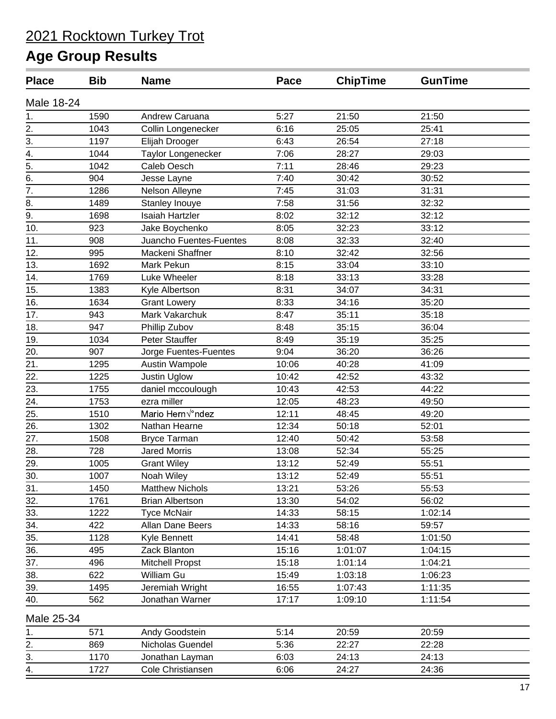| <b>Place</b>     | <b>Bib</b> | <b>Name</b>             | Pace  | <b>ChipTime</b> | <b>GunTime</b> |
|------------------|------------|-------------------------|-------|-----------------|----------------|
| Male 18-24       |            |                         |       |                 |                |
| 1.               | 1590       | Andrew Caruana          | 5:27  | 21:50           | 21:50          |
| 2.               | 1043       | Collin Longenecker      | 6:16  | 25:05           | 25:41          |
| 3.               | 1197       | Elijah Drooger          | 6:43  | 26:54           | 27:18          |
| 4.               | 1044       | Taylor Longenecker      | 7:06  | 28:27           | 29:03          |
| 5.               | 1042       | Caleb Oesch             | 7:11  | 28:46           | 29:23          |
| 6.               | 904        | Jesse Layne             | 7:40  | 30:42           | 30:52          |
| $\overline{7}$ . | 1286       | Nelson Alleyne          | 7:45  | 31:03           | 31:31          |
| 8.               | 1489       | Stanley Inouye          | 7:58  | 31:56           | 32:32          |
| 9.               | 1698       | <b>Isaiah Hartzler</b>  | 8:02  | 32:12           | 32:12          |
| 10.              | 923        | Jake Boychenko          | 8:05  | 32:23           | 33:12          |
| 11.              | 908        | Juancho Fuentes-Fuentes | 8:08  | 32:33           | 32:40          |
| 12.              | 995        | Mackeni Shaffner        | 8:10  | 32:42           | 32:56          |
| 13.              | 1692       | Mark Pekun              | 8:15  | 33:04           | 33:10          |
| 14.              | 1769       | Luke Wheeler            | 8:18  | 33:13           | 33:28          |
| 15.              | 1383       | Kyle Albertson          | 8:31  | 34:07           | 34:31          |
| 16.              | 1634       | <b>Grant Lowery</b>     | 8:33  | 34:16           | 35:20          |
| 17.              | 943        | Mark Vakarchuk          | 8:47  | 35:11           | 35:18          |
| 18.              | 947        | Phillip Zubov           | 8:48  | 35:15           | 36:04          |
| 19.              | 1034       | <b>Peter Stauffer</b>   | 8:49  | 35:19           | 35:25          |
| 20.              | 907        | Jorge Fuentes-Fuentes   | 9:04  | 36:20           | 36:26          |
| 21.              | 1295       | Austin Wampole          | 10:06 | 40:28           | 41:09          |
| 22.              | 1225       | Justin Uglow            | 10:42 | 42:52           | 43:32          |
| 23.              | 1755       | daniel mccoulough       | 10:43 | 42:53           | 44:22          |
| 24.              | 1753       | ezra miller             | 12:05 | 48:23           | 49:50          |
| 25.              | 1510       | Mario Hern√°ndez        | 12:11 | 48:45           | 49:20          |
| 26.              | 1302       | Nathan Hearne           | 12:34 | 50:18           | 52:01          |
| 27.              | 1508       | <b>Bryce Tarman</b>     | 12:40 | 50:42           | 53:58          |
| 28.              | 728        | <b>Jared Morris</b>     | 13:08 | 52:34           | 55:25          |
| 29.              | 1005       | <b>Grant Wiley</b>      | 13:12 | 52:49           | 55:51          |
| 30.              | 1007       | Noah Wiley              | 13:12 | 52:49           | 55:51          |
| 31.              | 1450       | <b>Matthew Nichols</b>  | 13:21 | 53:26           | 55:53          |
| 32.              | 1761       | <b>Brian Albertson</b>  | 13:30 | 54:02           | 56:02          |
| 33.              | 1222       | <b>Tyce McNair</b>      | 14:33 | 58:15           | 1:02:14        |
| 34.              | 422        | Allan Dane Beers        | 14:33 | 58:16           | 59:57          |
| 35.              | 1128       | Kyle Bennett            | 14:41 | 58:48           | 1:01:50        |
| 36.              | 495        | Zack Blanton            | 15:16 | 1:01:07         | 1:04:15        |
| 37.              | 496        | <b>Mitchell Propst</b>  | 15:18 | 1:01:14         | 1:04:21        |
| 38.              | 622        | William Gu              | 15:49 | 1:03:18         | 1:06:23        |
| 39.              | 1495       | Jeremiah Wright         | 16:55 | 1:07:43         | 1:11:35        |
| 40.              | 562        | Jonathan Warner         | 17:17 | 1:09:10         | 1:11:54        |
| Male 25-34       |            |                         |       |                 |                |
| 1.               | 571        | Andy Goodstein          | 5:14  | 20:59           | 20:59          |
| 2.               | 869        | Nicholas Guendel        | 5:36  | 22:27           | 22:28          |
| $\overline{3}$ . | 1170       | Jonathan Layman         | 6:03  | 24:13           | 24:13          |
| 4.               | 1727       | Cole Christiansen       | 6:06  | 24:27           | 24:36          |
|                  |            |                         |       |                 |                |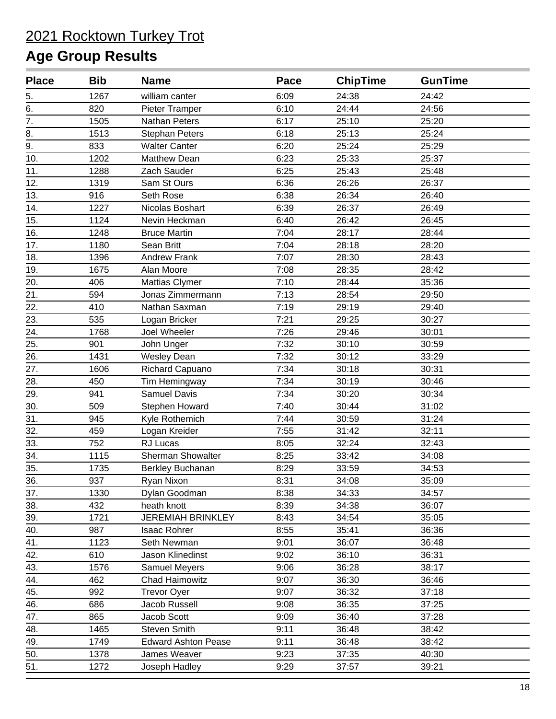| <b>Place</b>     | <b>Bib</b> | <b>Name</b>                | <b>Pace</b> | <b>ChipTime</b> | <b>GunTime</b> |  |
|------------------|------------|----------------------------|-------------|-----------------|----------------|--|
| 5.               | 1267       | william canter             | 6:09        | 24:38           | 24:42          |  |
| 6.               | 820        | Pieter Tramper             | 6:10        | 24:44           | 24:56          |  |
| $\overline{7}$ . | 1505       | Nathan Peters              | 6:17        | 25:10           | 25:20          |  |
| 8.               | 1513       | <b>Stephan Peters</b>      | 6:18        | 25:13           | 25:24          |  |
| 9.               | 833        | <b>Walter Canter</b>       | 6:20        | 25:24           | 25:29          |  |
| 10.              | 1202       | <b>Matthew Dean</b>        | 6:23        | 25:33           | 25:37          |  |
| 11.              | 1288       | Zach Sauder                | 6:25        | 25:43           | 25:48          |  |
| 12.              | 1319       | Sam St Ours                | 6:36        | 26:26           | 26:37          |  |
| 13.              | 916        | Seth Rose                  | 6:38        | 26:34           | 26:40          |  |
| 14.              | 1227       | Nicolas Boshart            | 6:39        | 26:37           | 26:49          |  |
| 15.              | 1124       | Nevin Heckman              | 6:40        | 26:42           | 26:45          |  |
| 16.              | 1248       | <b>Bruce Martin</b>        | 7:04        | 28:17           | 28:44          |  |
| 17.              | 1180       | Sean Britt                 | 7:04        | 28:18           | 28:20          |  |
| 18.              | 1396       | <b>Andrew Frank</b>        | 7:07        | 28:30           | 28:43          |  |
| 19.              | 1675       | Alan Moore                 | 7:08        | 28:35           | 28:42          |  |
| 20.              | 406        | Mattias Clymer             | 7:10        | 28:44           | 35:36          |  |
| 21.              | 594        | Jonas Zimmermann           | 7:13        | 28:54           | 29:50          |  |
| 22.              | 410        | Nathan Saxman              | 7:19        | 29:19           | 29:40          |  |
| 23.              | 535        | Logan Bricker              | 7:21        | 29:25           | 30:27          |  |
| 24.              | 1768       | Joel Wheeler               | 7:26        | 29:46           | 30:01          |  |
| 25.              | 901        | John Unger                 | 7:32        | 30:10           | 30:59          |  |
| 26.              | 1431       | <b>Wesley Dean</b>         | 7:32        | 30:12           | 33:29          |  |
| 27.              | 1606       | Richard Capuano            | 7:34        | 30:18           | 30:31          |  |
| 28.              | 450        | Tim Hemingway              | 7:34        | 30:19           | 30:46          |  |
| 29.              | 941        | <b>Samuel Davis</b>        | 7:34        | 30:20           | 30:34          |  |
| 30.              | 509        | Stephen Howard             | 7:40        | 30:44           | 31:02          |  |
| 31.              | 945        | Kyle Rothemich             | 7:44        | 30:59           | 31:24          |  |
| 32.              | 459        | Logan Kreider              | 7:55        | 31:42           | 32:11          |  |
| 33.              | 752        | RJ Lucas                   | 8:05        | 32:24           | 32:43          |  |
| 34.              | 1115       | Sherman Showalter          | 8:25        | 33:42           | 34:08          |  |
| 35.              | 1735       | Berkley Buchanan           | 8:29        | 33:59           | 34:53          |  |
| 36.              | 937        | Ryan Nixon                 | 8:31        | 34:08           | 35:09          |  |
| 37.              | 1330       | Dylan Goodman              | 8:38        | 34:33           | 34:57          |  |
| 38.              | 432        | heath knott                | 8:39        | 34:38           | 36:07          |  |
| 39.              | 1721       | <b>JEREMIAH BRINKLEY</b>   | 8:43        | 34:54           | 35:05          |  |
| 40.              | 987        | <b>Isaac Rohrer</b>        | 8:55        | 35:41           | 36:36          |  |
| 41.              | 1123       | Seth Newman                | 9:01        | 36:07           | 36:48          |  |
| 42.              | 610        | Jason Klinedinst           | 9:02        | 36:10           | 36:31          |  |
| 43.              | 1576       | Samuel Meyers              | 9:06        | 36:28           | 38:17          |  |
| 44.              | 462        | <b>Chad Haimowitz</b>      | 9:07        | 36:30           | 36:46          |  |
| 45.              | 992        | <b>Trevor Oyer</b>         | 9:07        | 36:32           | 37:18          |  |
| 46.              | 686        | Jacob Russell              | 9:08        | 36:35           | 37:25          |  |
| 47.              | 865        | Jacob Scott                | 9:09        | 36:40           | 37:28          |  |
| 48.              | 1465       | <b>Steven Smith</b>        | 9:11        | 36:48           | 38:42          |  |
| 49.              | 1749       | <b>Edward Ashton Pease</b> | 9:11        | 36:48           | 38:42          |  |
| 50.              | 1378       | James Weaver               | 9:23        | 37:35           | 40:30          |  |
| 51.              | 1272       | Joseph Hadley              | 9:29        | 37:57           | 39:21          |  |
|                  |            |                            |             |                 |                |  |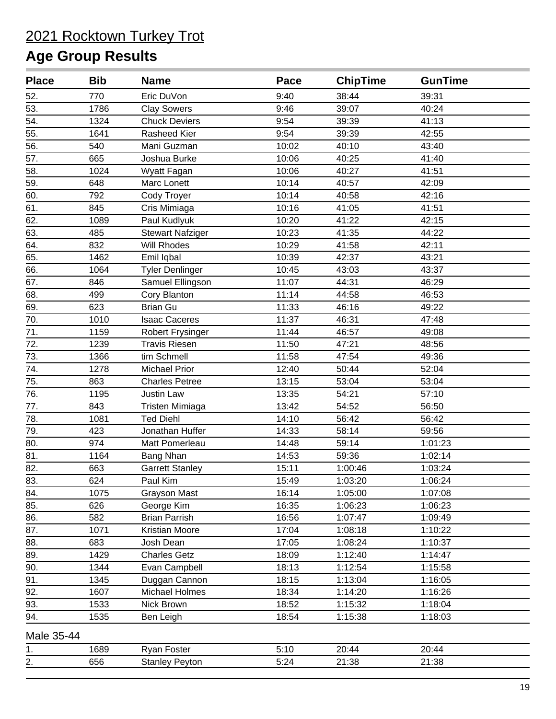| <b>Place</b> | <b>Bib</b> | <b>Name</b>             | Pace  | <b>ChipTime</b> | <b>GunTime</b> |  |
|--------------|------------|-------------------------|-------|-----------------|----------------|--|
| 52.          | 770        | Eric DuVon              | 9:40  | 38:44           | 39:31          |  |
| 53.          | 1786       | <b>Clay Sowers</b>      | 9:46  | 39:07           | 40:24          |  |
| 54.          | 1324       | <b>Chuck Deviers</b>    | 9:54  | 39:39           | 41:13          |  |
| 55.          | 1641       | Rasheed Kier            | 9:54  | 39:39           | 42:55          |  |
| 56.          | 540        | Mani Guzman             | 10:02 | 40:10           | 43:40          |  |
| 57.          | 665        | Joshua Burke            | 10:06 | 40:25           | 41:40          |  |
| 58.          | 1024       | Wyatt Fagan             | 10:06 | 40:27           | 41:51          |  |
| 59.          | 648        | Marc Lonett             | 10:14 | 40:57           | 42:09          |  |
| 60.          | 792        | Cody Troyer             | 10:14 | 40:58           | 42:16          |  |
| 61.          | 845        | Cris Mimiaga            | 10:16 | 41:05           | 41:51          |  |
| 62.          | 1089       | Paul Kudlyuk            | 10:20 | 41:22           | 42:15          |  |
| 63.          | 485        | <b>Stewart Nafziger</b> | 10:23 | 41:35           | 44:22          |  |
| 64.          | 832        | Will Rhodes             | 10:29 | 41:58           | 42:11          |  |
| 65.          | 1462       | Emil Iqbal              | 10:39 | 42:37           | 43:21          |  |
| 66.          | 1064       | <b>Tyler Denlinger</b>  | 10:45 | 43:03           | 43:37          |  |
| 67.          | 846        | Samuel Ellingson        | 11:07 | 44:31           | 46:29          |  |
| 68.          | 499        | Cory Blanton            | 11:14 | 44:58           | 46:53          |  |
| 69.          | 623        | <b>Brian Gu</b>         | 11:33 | 46:16           | 49:22          |  |
| 70.          | 1010       | <b>Isaac Caceres</b>    | 11:37 | 46:31           | 47:48          |  |
| 71.          | 1159       | <b>Robert Frysinger</b> | 11:44 | 46:57           | 49:08          |  |
| 72.          | 1239       | <b>Travis Riesen</b>    | 11:50 | 47:21           | 48:56          |  |
| 73.          | 1366       | tim Schmell             | 11:58 | 47:54           | 49:36          |  |
| 74.          | 1278       | <b>Michael Prior</b>    | 12:40 | 50:44           | 52:04          |  |
| 75.          | 863        | <b>Charles Petree</b>   | 13:15 | 53:04           | 53:04          |  |
| 76.          | 1195       | <b>Justin Law</b>       | 13:35 | 54:21           | 57:10          |  |
| 77.          | 843        | Tristen Mimiaga         | 13:42 | 54:52           | 56:50          |  |
| 78.          | 1081       | <b>Ted Diehl</b>        | 14:10 | 56:42           | 56:42          |  |
| 79.          | 423        | Jonathan Huffer         | 14:33 | 58:14           | 59:56          |  |
| 80.          | 974        | Matt Pomerleau          | 14:48 | 59:14           | 1:01:23        |  |
| 81.          | 1164       | Bang Nhan               | 14:53 | 59:36           | 1:02:14        |  |
| 82.          | 663        | <b>Garrett Stanley</b>  | 15:11 | 1:00:46         | 1:03:24        |  |
| 83.          | 624        | Paul Kim                | 15:49 | 1:03:20         | 1:06:24        |  |
| 84.          | 1075       | <b>Grayson Mast</b>     | 16:14 | 1:05:00         | 1:07:08        |  |
| 85.          | 626        | George Kim              | 16:35 | 1:06:23         | 1:06:23        |  |
| 86.          | 582        | <b>Brian Parrish</b>    | 16:56 | 1:07:47         | 1:09:49        |  |
| 87.          | 1071       | Kristian Moore          | 17:04 | 1:08:18         | 1:10:22        |  |
| 88.          | 683        | Josh Dean               | 17:05 | 1:08:24         | 1:10:37        |  |
| 89.          | 1429       | <b>Charles Getz</b>     | 18:09 | 1:12:40         | 1:14:47        |  |
| 90.          | 1344       | Evan Campbell           | 18:13 | 1:12:54         | 1:15:58        |  |
| 91.          | 1345       | Duggan Cannon           | 18:15 | 1:13:04         | 1:16:05        |  |
| 92.          | 1607       | <b>Michael Holmes</b>   | 18:34 | 1:14:20         | 1:16:26        |  |
| 93.          | 1533       | Nick Brown              | 18:52 | 1:15:32         | 1:18:04        |  |
| 94.          | 1535       | Ben Leigh               | 18:54 | 1:15:38         | 1:18:03        |  |
| Male 35-44   |            |                         |       |                 |                |  |
| 1.           | 1689       | Ryan Foster             | 5:10  | 20:44           | 20:44          |  |
| 2.           | 656        | <b>Stanley Peyton</b>   | 5:24  | 21:38           | 21:38          |  |
|              |            |                         |       |                 |                |  |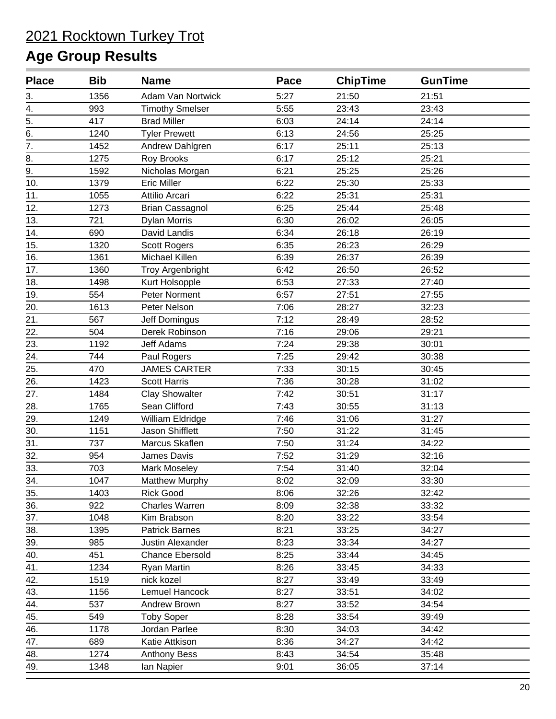| <b>Place</b>      | <b>Bib</b> | <b>Name</b>             | Pace | <b>ChipTime</b> | <b>GunTime</b> |  |
|-------------------|------------|-------------------------|------|-----------------|----------------|--|
| 3.                | 1356       | Adam Van Nortwick       | 5:27 | 21:50           | 21:51          |  |
| 4.                | 993        | <b>Timothy Smelser</b>  | 5:55 | 23:43           | 23:43          |  |
| $\overline{5}$ .  | 417        | <b>Brad Miller</b>      | 6:03 | 24:14           | 24:14          |  |
| 6.                | 1240       | <b>Tyler Prewett</b>    | 6:13 | 24:56           | 25:25          |  |
| $\overline{7}$ .  | 1452       | Andrew Dahlgren         | 6:17 | 25:11           | 25:13          |  |
| 8.                | 1275       | Roy Brooks              | 6:17 | 25:12           | 25:21          |  |
| 9.                | 1592       | Nicholas Morgan         | 6:21 | 25:25           | 25:26          |  |
| 10.               | 1379       | <b>Eric Miller</b>      | 6:22 | 25:30           | 25:33          |  |
| 11.               | 1055       | Attilio Arcari          | 6:22 | 25:31           | 25:31          |  |
| 12.               | 1273       | <b>Brian Cassagnol</b>  | 6:25 | 25:44           | 25:48          |  |
| 13.               | 721        | <b>Dylan Morris</b>     | 6:30 | 26:02           | 26:05          |  |
| 14.               | 690        | David Landis            | 6:34 | 26:18           | 26:19          |  |
| 15.               | 1320       | <b>Scott Rogers</b>     | 6:35 | 26:23           | 26:29          |  |
| 16.               | 1361       | Michael Killen          | 6:39 | 26:37           | 26:39          |  |
| 17.               | 1360       | <b>Troy Argenbright</b> | 6:42 | 26:50           | 26:52          |  |
| 18.               | 1498       | Kurt Holsopple          | 6:53 | 27:33           | 27:40          |  |
| 19.               | 554        | Peter Norment           | 6:57 | 27:51           | 27:55          |  |
| 20.               | 1613       | Peter Nelson            | 7:06 | 28:27           | 32:23          |  |
| 21.               | 567        | <b>Jeff Domingus</b>    | 7:12 | 28:49           | 28:52          |  |
| 22.               | 504        | Derek Robinson          | 7:16 | 29:06           | 29:21          |  |
| 23.               | 1192       | Jeff Adams              | 7:24 | 29:38           | 30:01          |  |
| $\overline{24}$ . | 744        | Paul Rogers             | 7:25 | 29:42           | 30:38          |  |
| 25.               | 470        | <b>JAMES CARTER</b>     | 7:33 | 30:15           | 30:45          |  |
| 26.               | 1423       | <b>Scott Harris</b>     | 7:36 | 30:28           | 31:02          |  |
| 27.               | 1484       | <b>Clay Showalter</b>   | 7:42 | 30:51           | 31:17          |  |
| 28.               | 1765       | Sean Clifford           | 7:43 | 30:55           | 31:13          |  |
| 29.               | 1249       | William Eldridge        | 7:46 | 31:06           | 31:27          |  |
| 30.               | 1151       | <b>Jason Shifflett</b>  | 7:50 | 31:22           | 31:45          |  |
| 31.               | 737        | Marcus Skaflen          | 7:50 | 31:24           | 34:22          |  |
| 32.               | 954        | James Davis             | 7:52 | 31:29           | 32:16          |  |
| 33.               | 703        | Mark Moseley            | 7:54 | 31:40           | 32:04          |  |
| 34.               | 1047       | Matthew Murphy          | 8:02 | 32:09           | 33:30          |  |
| 35.               | 1403       | <b>Rick Good</b>        | 8:06 | 32:26           | 32:42          |  |
| 36.               | 922        | Charles Warren          | 8:09 | 32:38           | 33:32          |  |
| 37.               | 1048       | Kim Brabson             | 8:20 | 33:22           | 33:54          |  |
| 38.               | 1395       | <b>Patrick Barnes</b>   | 8:21 | 33:25           | 34:27          |  |
| 39.               | 985        | <b>Justin Alexander</b> | 8:23 | 33:34           | 34:27          |  |
| 40.               | 451        | <b>Chance Ebersold</b>  | 8:25 | 33:44           | 34:45          |  |
| 41.               | 1234       | Ryan Martin             | 8:26 | 33:45           | 34:33          |  |
| 42.               | 1519       | nick kozel              | 8:27 | 33:49           | 33:49          |  |
| 43.               | 1156       | Lemuel Hancock          | 8:27 | 33:51           | 34:02          |  |
| 44.               | 537        | Andrew Brown            | 8:27 | 33:52           | 34:54          |  |
| 45.               | 549        | <b>Toby Soper</b>       | 8:28 | 33:54           | 39:49          |  |
| 46.               | 1178       | Jordan Parlee           | 8:30 | 34:03           | 34:42          |  |
| 47.               | 689        | Katie Attkison          | 8:36 | 34:27           | 34:42          |  |
| 48.               | 1274       | <b>Anthony Bess</b>     | 8:43 | 34:54           | 35:48          |  |
| 49.               | 1348       | lan Napier              | 9:01 | 36:05           | 37:14          |  |
|                   |            |                         |      |                 |                |  |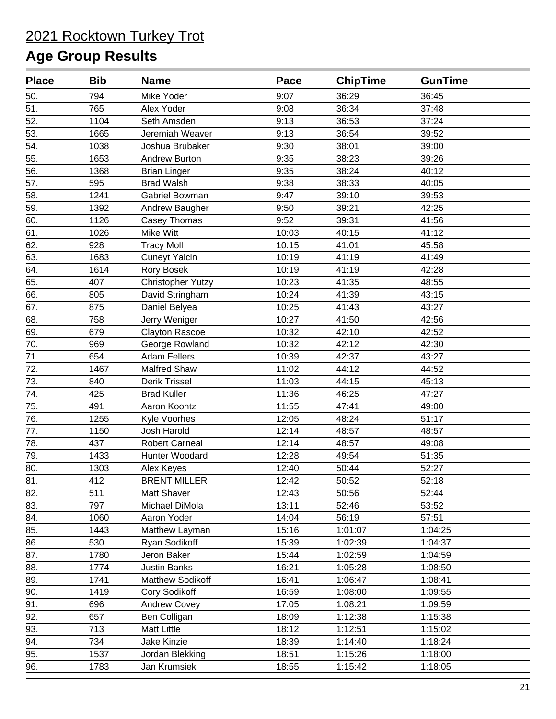| <b>Place</b> | <b>Bib</b> | <b>Name</b>           | <b>Pace</b> | <b>ChipTime</b> | <b>GunTime</b> |  |
|--------------|------------|-----------------------|-------------|-----------------|----------------|--|
| 50.          | 794        | Mike Yoder            | 9:07        | 36:29           | 36:45          |  |
| 51.          | 765        | Alex Yoder            | 9:08        | 36:34           | 37:48          |  |
| 52.          | 1104       | Seth Amsden           | 9:13        | 36:53           | 37:24          |  |
| 53.          | 1665       | Jeremiah Weaver       | 9:13        | 36:54           | 39:52          |  |
| 54.          | 1038       | Joshua Brubaker       | 9:30        | 38:01           | 39:00          |  |
| 55.          | 1653       | Andrew Burton         | 9:35        | 38:23           | 39:26          |  |
| 56.          | 1368       | <b>Brian Linger</b>   | 9:35        | 38:24           | 40:12          |  |
| 57.          | 595        | <b>Brad Walsh</b>     | 9:38        | 38:33           | 40:05          |  |
| 58.          | 1241       | Gabriel Bowman        | 9:47        | 39:10           | 39:53          |  |
| 59.          | 1392       | Andrew Baugher        | 9:50        | 39:21           | 42:25          |  |
| 60.          | 1126       | Casey Thomas          | 9:52        | 39:31           | 41:56          |  |
| 61.          | 1026       | Mike Witt             | 10:03       | 40:15           | 41:12          |  |
| 62.          | 928        | <b>Tracy Moll</b>     | 10:15       | 41:01           | 45:58          |  |
| 63.          | 1683       | <b>Cuneyt Yalcin</b>  | 10:19       | 41:19           | 41:49          |  |
| 64.          | 1614       | Rory Bosek            | 10:19       | 41:19           | 42:28          |  |
| 65.          | 407        | Christopher Yutzy     | 10:23       | 41:35           | 48:55          |  |
| 66.          | 805        | David Stringham       | 10:24       | 41:39           | 43:15          |  |
| 67.          | 875        | Daniel Belyea         | 10:25       | 41:43           | 43:27          |  |
| 68.          | 758        | Jerry Weniger         | 10:27       | 41:50           | 42:56          |  |
| 69.          | 679        | <b>Clayton Rascoe</b> | 10:32       | 42:10           | 42:52          |  |
| 70.          | 969        | George Rowland        | 10:32       | 42:12           | 42:30          |  |
| 71.          | 654        | <b>Adam Fellers</b>   | 10:39       | 42:37           | 43:27          |  |
| 72.          | 1467       | <b>Malfred Shaw</b>   | 11:02       | 44:12           | 44:52          |  |
| 73.          | 840        | Derik Trissel         | 11:03       | 44:15           | 45:13          |  |
| 74.          | 425        | <b>Brad Kuller</b>    | 11:36       | 46:25           | 47:27          |  |
| 75.          | 491        | Aaron Koontz          | 11:55       | 47:41           | 49:00          |  |
| 76.          | 1255       | Kyle Voorhes          | 12:05       | 48:24           | 51:17          |  |
| 77.          | 1150       | Josh Harold           | 12:14       | 48:57           | 48:57          |  |
| 78.          | 437        | <b>Robert Carneal</b> | 12:14       | 48:57           | 49:08          |  |
| 79.          | 1433       | Hunter Woodard        | 12:28       | 49:54           | 51:35          |  |
| 80.          | 1303       | Alex Keyes            | 12:40       | 50:44           | 52:27          |  |
| 81.          | 412        | <b>BRENT MILLER</b>   | 12:42       | 50:52           | 52:18          |  |
| 82.          | 511        | Matt Shaver           | 12:43       | 50:56           | 52:44          |  |
| 83.          | 797        | Michael DiMola        | 13:11       | 52:46           | 53:52          |  |
| 84.          | 1060       | Aaron Yoder           | 14:04       | 56:19           | 57:51          |  |
| 85.          | 1443       | Matthew Layman        | 15:16       | 1:01:07         | 1:04:25        |  |
| 86.          | 530        | Ryan Sodikoff         | 15:39       | 1:02:39         | 1:04:37        |  |
| 87.          | 1780       | Jeron Baker           | 15:44       | 1:02:59         | 1:04:59        |  |
| 88.          | 1774       | <b>Justin Banks</b>   | 16:21       | 1:05:28         | 1:08:50        |  |
| 89.          | 1741       | Matthew Sodikoff      | 16:41       | 1:06:47         | 1:08:41        |  |
| 90.          | 1419       | Cory Sodikoff         | 16:59       | 1:08:00         | 1:09:55        |  |
| 91.          | 696        | <b>Andrew Covey</b>   | 17:05       | 1:08:21         | 1:09:59        |  |
| 92.          | 657        | Ben Colligan          | 18:09       | 1:12:38         | 1:15:38        |  |
| 93.          | 713        | <b>Matt Little</b>    | 18:12       | 1:12:51         | 1:15:02        |  |
| 94.          | 734        | Jake Kinzie           | 18:39       | 1:14:40         | 1:18:24        |  |
| 95.          | 1537       | Jordan Blekking       | 18:51       | 1:15:26         | 1:18:00        |  |
| 96.          | 1783       | Jan Krumsiek          | 18:55       | 1:15:42         | 1:18:05        |  |
|              |            |                       |             |                 |                |  |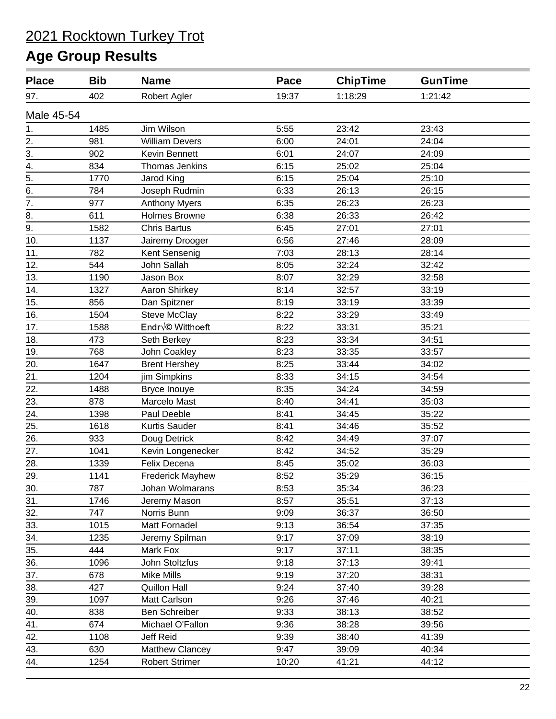| <b>Place</b>     | <b>Bib</b> | <b>Name</b>             | Pace  | <b>ChipTime</b> | <b>GunTime</b> |
|------------------|------------|-------------------------|-------|-----------------|----------------|
| 97.              | 402        | Robert Agler            | 19:37 | 1:18:29         | 1:21:42        |
| Male 45-54       |            |                         |       |                 |                |
| 1.               | 1485       | Jim Wilson              | 5:55  | 23:42           | 23:43          |
| 2.               | 981        | <b>William Devers</b>   | 6:00  | 24:01           | 24:04          |
| 3.               | 902        | Kevin Bennett           | 6:01  | 24:07           | 24:09          |
| $\overline{4}$ . | 834        | Thomas Jenkins          | 6:15  | 25:02           | 25:04          |
| $\overline{5}$ . | 1770       | Jarod King              | 6:15  | 25:04           | 25:10          |
| 6.               | 784        | Joseph Rudmin           | 6:33  | 26:13           | 26:15          |
| $\overline{7}$ . | 977        | <b>Anthony Myers</b>    | 6:35  | 26:23           | 26:23          |
| $\overline{8}$ . | 611        | <b>Holmes Browne</b>    | 6:38  | 26:33           | 26:42          |
| $\overline{9}$ . | 1582       | <b>Chris Bartus</b>     | 6:45  | 27:01           | 27:01          |
| 10.              | 1137       | Jairemy Drooger         | 6:56  | 27:46           | 28:09          |
| 11.              | 782        | Kent Sensenig           | 7:03  | 28:13           | 28:14          |
| 12.              | 544        | John Sallah             | 8:05  | 32:24           | 32:42          |
| 13.              | 1190       | Jason Box               | 8:07  | 32:29           | 32:58          |
| 14.              | 1327       | Aaron Shirkey           | 8:14  | 32:57           | 33:19          |
| 15.              | 856        | Dan Spitzner            | 8:19  | 33:19           | 33:39          |
| 16.              | 1504       | <b>Steve McClay</b>     | 8:22  | 33:29           | 33:49          |
| 17.              | 1588       | Endré Witthoeft         | 8:22  | 33:31           | 35:21          |
| 18.              | 473        | Seth Berkey             | 8:23  | 33:34           | 34:51          |
| 19.              | 768        | John Coakley            | 8:23  | 33:35           | 33:57          |
| 20.              | 1647       | <b>Brent Hershey</b>    | 8:25  | 33:44           | 34:02          |
| 21.              | 1204       | jim Simpkins            | 8:33  | 34:15           | 34:54          |
| 22.              | 1488       | Bryce Inouye            | 8:35  | 34:24           | 34:59          |
| 23.              | 878        | Marcelo Mast            | 8:40  | 34:41           | 35:03          |
| 24.              | 1398       | Paul Deeble             | 8:41  | 34:45           | 35:22          |
| 25.              | 1618       | Kurtis Sauder           | 8:41  | 34:46           | 35:52          |
| 26.              | 933        | Doug Detrick            | 8:42  | 34:49           | 37:07          |
| 27.              | 1041       | Kevin Longenecker       | 8:42  | 34:52           | 35:29          |
| 28.              | 1339       | Felix Decena            | 8:45  | 35:02           | 36:03          |
| 29.              | 1141       | <b>Frederick Mayhew</b> | 8:52  | 35:29           | 36:15          |
| 30.              | 787        | Johan Wolmarans         | 8:53  | 35:34           | 36:23          |
| 31.              | 1746       | Jeremy Mason            | 8:57  | 35:51           | 37:13          |
| 32.              | 747        | Norris Bunn             | 9:09  | 36:37           | 36:50          |
| 33.              | 1015       | Matt Fornadel           | 9:13  | 36:54           | 37:35          |
| 34.              | 1235       | Jeremy Spilman          | 9:17  | 37:09           | 38:19          |
| 35.              | 444        | Mark Fox                | 9:17  | 37:11           | 38:35          |
| 36.              | 1096       | John Stoltzfus          | 9:18  | 37:13           | 39:41          |
| 37.              | 678        | <b>Mike Mills</b>       | 9:19  | 37:20           | 38:31          |
| 38.              | 427        | <b>Quillon Hall</b>     | 9:24  | 37:40           | 39:28          |
| 39.              | 1097       | Matt Carlson            | 9:26  | 37:46           | 40:21          |
| 40.              | 838        | Ben Schreiber           | 9:33  | 38:13           | 38:52          |
| 41.              | 674        | Michael O'Fallon        | 9:36  | 38:28           | 39:56          |
| 42.              | 1108       | <b>Jeff Reid</b>        | 9:39  | 38:40           | 41:39          |
| 43.              | 630        | Matthew Clancey         | 9:47  | 39:09           | 40:34          |
| 44.              | 1254       | <b>Robert Strimer</b>   | 10:20 | 41:21           | 44:12          |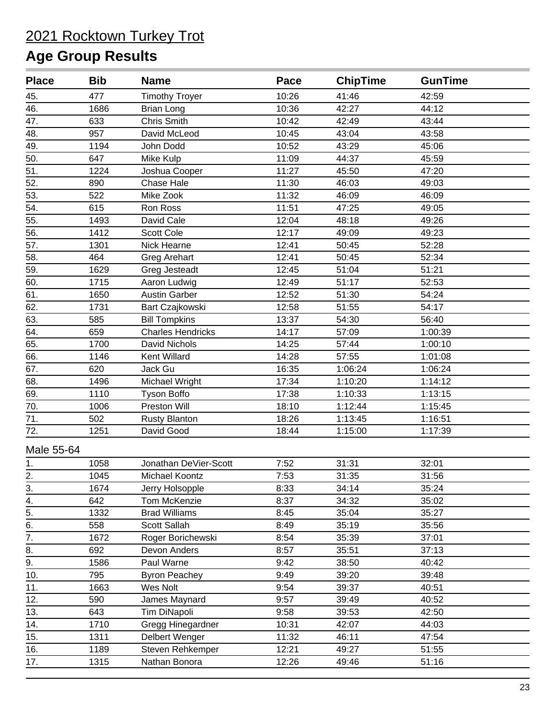| <b>Place</b>     | <b>Bib</b> | <b>Name</b>              | Pace  | <b>ChipTime</b> | <b>GunTime</b> |  |
|------------------|------------|--------------------------|-------|-----------------|----------------|--|
| 45.              | 477        | <b>Timothy Troyer</b>    | 10:26 | 41:46           | 42:59          |  |
| 46.              | 1686       | <b>Brian Long</b>        | 10:36 | 42:27           | 44:12          |  |
| 47.              | 633        | <b>Chris Smith</b>       | 10:42 | 42:49           | 43:44          |  |
| 48.              | 957        | David McLeod             | 10:45 | 43:04           | 43:58          |  |
| 49.              | 1194       | John Dodd                | 10:52 | 43:29           | 45:06          |  |
| 50.              | 647        | Mike Kulp                | 11:09 | 44:37           | 45:59          |  |
| 51.              | 1224       | Joshua Cooper            | 11:27 | 45:50           | 47:20          |  |
| 52.              | 890        | Chase Hale               | 11:30 | 46:03           | 49:03          |  |
| 53.              | 522        | Mike Zook                | 11:32 | 46:09           | 46:09          |  |
| 54.              | 615        | Ron Ross                 | 11:51 | 47:25           | 49:05          |  |
| 55.              | 1493       | David Cale               | 12:04 | 48:18           | 49:26          |  |
| 56.              | 1412       | Scott Cole               | 12:17 | 49:09           | 49:23          |  |
| 57.              | 1301       | Nick Hearne              | 12:41 | 50:45           | 52:28          |  |
| 58.              | 464        | <b>Greg Arehart</b>      | 12:41 | 50:45           | 52:34          |  |
| 59.              | 1629       | Greg Jesteadt            | 12:45 | 51:04           | 51:21          |  |
| 60.              | 1715       | Aaron Ludwig             | 12:49 | 51:17           | 52:53          |  |
| 61.              | 1650       | <b>Austin Garber</b>     | 12:52 | 51:30           | 54:24          |  |
| 62.              | 1731       | Bart Czajkowski          | 12:58 | 51:55           | 54:17          |  |
| 63.              | 585        | <b>Bill Tompkins</b>     | 13:37 | 54:30           | 56:40          |  |
| 64.              | 659        | <b>Charles Hendricks</b> | 14:17 | 57:09           | 1:00:39        |  |
| 65.              | 1700       | David Nichols            | 14:25 | 57:44           | 1:00:10        |  |
| 66.              | 1146       | Kent Willard             | 14:28 | 57:55           | 1:01:08        |  |
| 67.              | 620        | Jack Gu                  | 16:35 | 1:06:24         | 1:06:24        |  |
| 68.              | 1496       | Michael Wright           | 17:34 | 1:10:20         | 1:14:12        |  |
| 69.              | 1110       | <b>Tyson Boffo</b>       | 17:38 | 1:10:33         | 1:13:15        |  |
| 70.              | 1006       | Preston Will             | 18:10 | 1:12:44         | 1:15:45        |  |
| 71.              | 502        | <b>Rusty Blanton</b>     | 18:26 | 1:13:45         | 1:16:51        |  |
| 72.              | 1251       | David Good               | 18:44 | 1:15:00         | 1:17:39        |  |
| Male 55-64       |            |                          |       |                 |                |  |
| 1.               | 1058       | Jonathan DeVier-Scott    | 7:52  | 31:31           | 32:01          |  |
| 2.               | 1045       | Michael Koontz           | 7:53  | 31:35           | 31:56          |  |
|                  | 1674       | Jerry Holsopple          | 8:33  | 34:14           | 35:24          |  |
| $rac{3}{4}$ .    | 642        | Tom McKenzie             | 8:37  | 34:32           | 35:02          |  |
| $\overline{5}$ . | 1332       | <b>Brad Williams</b>     | 8:45  | 35:04           | 35:27          |  |
| 6.               | 558        | Scott Sallah             | 8:49  | 35:19           | 35:56          |  |
| $\overline{7}$ . | 1672       | Roger Borichewski        | 8:54  | 35:39           | 37:01          |  |
| $\overline{8}$ . | 692        | Devon Anders             | 8:57  | 35:51           | 37:13          |  |
| $\overline{9}$ . | 1586       | Paul Warne               | 9:42  | 38:50           | 40:42          |  |
| 10.              | 795        | <b>Byron Peachey</b>     | 9:49  | 39:20           | 39:48          |  |
| 11.              | 1663       | Wes Nolt                 | 9:54  | 39:37           | 40:51          |  |
| 12.              | 590        | James Maynard            | 9:57  | 39:49           | 40:52          |  |
| 13.              | 643        | Tim DiNapoli             | 9:58  | 39:53           | 42:50          |  |
| 14.              | 1710       | Gregg Hinegardner        | 10:31 | 42:07           | 44:03          |  |
| 15.              | 1311       | Delbert Wenger           | 11:32 | 46:11           | 47:54          |  |
| 16.              | 1189       | Steven Rehkemper         | 12:21 | 49:27           | 51:55          |  |
| 17.              | 1315       | Nathan Bonora            | 12:26 | 49:46           | 51:16          |  |
|                  |            |                          |       |                 |                |  |